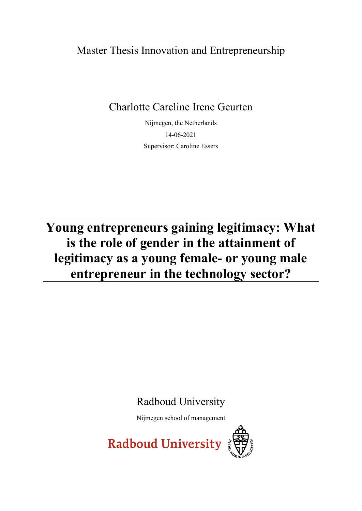Master Thesis Innovation and Entrepreneurship

Charlotte Careline Irene Geurten

Nijmegen, the Netherlands 14-06-2021 Supervisor: Caroline Essers

**Young entrepreneurs gaining legitimacy: What is the role of gender in the attainment of legitimacy as a young female- or young male entrepreneur in the technology sector?**

Radboud University

Nijmegen school of management

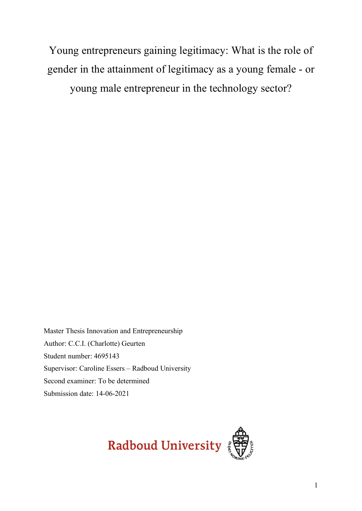Young entrepreneurs gaining legitimacy: What is the role of gender in the attainment of legitimacy as a young female - or young male entrepreneur in the technology sector?

Master Thesis Innovation and Entrepreneurship Author: C.C.I. (Charlotte) Geurten Student number: 4695143 Supervisor: Caroline Essers – Radboud University Second examiner: To be determined Submission date: 14-06-2021

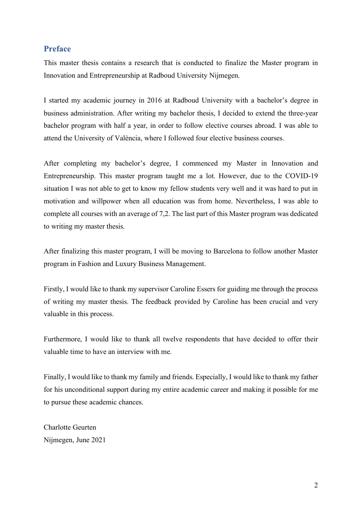# **Preface**

This master thesis contains a research that is conducted to finalize the Master program in Innovation and Entrepreneurship at Radboud University Nijmegen.

I started my academic journey in 2016 at Radboud University with a bachelor's degree in business administration. After writing my bachelor thesis, I decided to extend the three-year bachelor program with half a year, in order to follow elective courses abroad. I was able to attend the University of València, where I followed four elective business courses.

After completing my bachelor's degree, I commenced my Master in Innovation and Entrepreneurship. This master program taught me a lot. However, due to the COVID-19 situation I was not able to get to know my fellow students very well and it was hard to put in motivation and willpower when all education was from home. Nevertheless, I was able to complete all courses with an average of 7,2. The last part of this Master program was dedicated to writing my master thesis.

After finalizing this master program, I will be moving to Barcelona to follow another Master program in Fashion and Luxury Business Management.

Firstly, I would like to thank my supervisor Caroline Essers for guiding me through the process of writing my master thesis. The feedback provided by Caroline has been crucial and very valuable in this process.

Furthermore, I would like to thank all twelve respondents that have decided to offer their valuable time to have an interview with me.

Finally, I would like to thank my family and friends. Especially, I would like to thank my father for his unconditional support during my entire academic career and making it possible for me to pursue these academic chances.

Charlotte Geurten Nijmegen, June 2021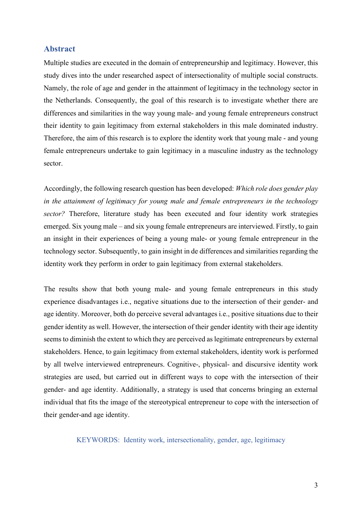# **Abstract**

Multiple studies are executed in the domain of entrepreneurship and legitimacy. However, this study dives into the under researched aspect of intersectionality of multiple social constructs. Namely, the role of age and gender in the attainment of legitimacy in the technology sector in the Netherlands. Consequently, the goal of this research is to investigate whether there are differences and similarities in the way young male- and young female entrepreneurs construct their identity to gain legitimacy from external stakeholders in this male dominated industry. Therefore, the aim of this research is to explore the identity work that young male - and young female entrepreneurs undertake to gain legitimacy in a masculine industry as the technology sector.

Accordingly, the following research question has been developed: *Which role does gender play in the attainment of legitimacy for young male and female entrepreneurs in the technology sector?* Therefore, literature study has been executed and four identity work strategies emerged. Six young male – and six young female entrepreneurs are interviewed. Firstly, to gain an insight in their experiences of being a young male- or young female entrepreneur in the technology sector. Subsequently, to gain insight in de differences and similarities regarding the identity work they perform in order to gain legitimacy from external stakeholders.

The results show that both young male- and young female entrepreneurs in this study experience disadvantages i.e., negative situations due to the intersection of their gender- and age identity. Moreover, both do perceive several advantages i.e., positive situations due to their gender identity as well. However, the intersection of their gender identity with their age identity seems to diminish the extent to which they are perceived as legitimate entrepreneurs by external stakeholders. Hence, to gain legitimacy from external stakeholders, identity work is performed by all twelve interviewed entrepreneurs. Cognitive-, physical- and discursive identity work strategies are used, but carried out in different ways to cope with the intersection of their gender- and age identity. Additionally, a strategy is used that concerns bringing an external individual that fits the image of the stereotypical entrepreneur to cope with the intersection of their gender-and age identity.

KEYWORDS: Identity work, intersectionality, gender, age, legitimacy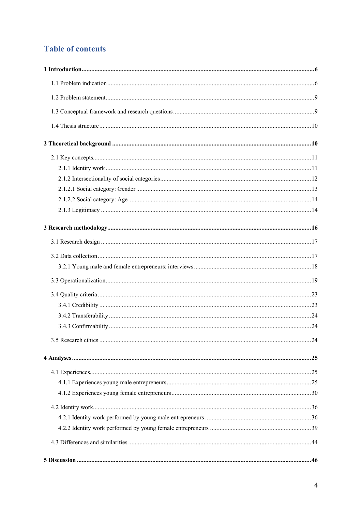# **Table of contents**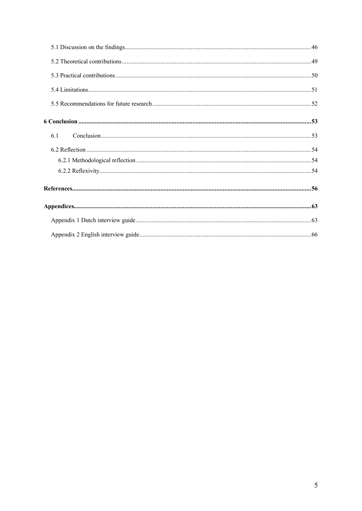| 6.1 |  |
|-----|--|
|     |  |
|     |  |
|     |  |
|     |  |
|     |  |
|     |  |
|     |  |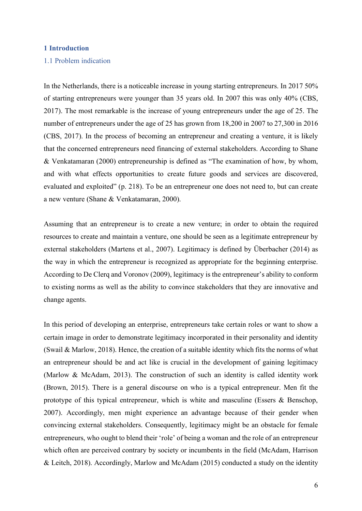# <span id="page-6-0"></span>**1 Introduction**

# <span id="page-6-1"></span>1.1 Problem indication

In the Netherlands, there is a noticeable increase in young starting entrepreneurs. In 2017 50% of starting entrepreneurs were younger than 35 years old. In 2007 this was only 40% (CBS, 2017). The most remarkable is the increase of young entrepreneurs under the age of 25. The number of entrepreneurs under the age of 25 has grown from 18,200 in 2007 to 27,300 in 2016 (CBS, 2017). In the process of becoming an entrepreneur and creating a venture, it is likely that the concerned entrepreneurs need financing of external stakeholders. According to Shane & Venkatamaran (2000) entrepreneurship is defined as "The examination of how, by whom, and with what effects opportunities to create future goods and services are discovered, evaluated and exploited" (p. 218). To be an entrepreneur one does not need to, but can create a new venture (Shane & Venkatamaran, 2000).

Assuming that an entrepreneur is to create a new venture; in order to obtain the required resources to create and maintain a venture, one should be seen as a legitimate entrepreneur by external stakeholders (Martens et al., 2007). Legitimacy is defined by Überbacher (2014) as the way in which the entrepreneur is recognized as appropriate for the beginning enterprise. According to De Clerq and Voronov (2009), legitimacy is the entrepreneur's ability to conform to existing norms as well as the ability to convince stakeholders that they are innovative and change agents.

In this period of developing an enterprise, entrepreneurs take certain roles or want to show a certain image in order to demonstrate legitimacy incorporated in their personality and identity (Swail & Marlow, 2018). Hence, the creation of a suitable identity which fits the norms of what an entrepreneur should be and act like is crucial in the development of gaining legitimacy (Marlow & McAdam, 2013). The construction of such an identity is called identity work (Brown, 2015). There is a general discourse on who is a typical entrepreneur. Men fit the prototype of this typical entrepreneur, which is white and masculine (Essers & Benschop, 2007). Accordingly, men might experience an advantage because of their gender when convincing external stakeholders. Consequently, legitimacy might be an obstacle for female entrepreneurs, who ought to blend their 'role' of being a woman and the role of an entrepreneur which often are perceived contrary by society or incumbents in the field (McAdam, Harrison & Leitch, 2018). Accordingly, Marlow and McAdam (2015) conducted a study on the identity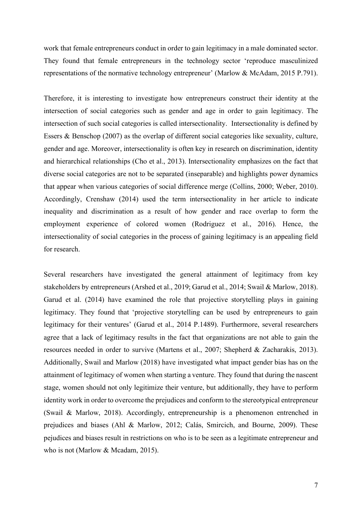work that female entrepreneurs conduct in order to gain legitimacy in a male dominated sector. They found that female entrepreneurs in the technology sector 'reproduce masculinized representations of the normative technology entrepreneur' (Marlow & McAdam, 2015 P.791).

Therefore, it is interesting to investigate how entrepreneurs construct their identity at the intersection of social categories such as gender and age in order to gain legitimacy. The intersection of such social categories is called intersectionality. Intersectionality is defined by Essers & Benschop (2007) as the overlap of different social categories like sexuality, culture, gender and age. Moreover, intersectionality is often key in research on discrimination, identity and hierarchical relationships (Cho et al., 2013). Intersectionality emphasizes on the fact that diverse social categories are not to be separated (inseparable) and highlights power dynamics that appear when various categories of social difference merge (Collins, 2000; Weber, 2010). Accordingly, Crenshaw (2014) used the term intersectionality in her article to indicate inequality and discrimination as a result of how gender and race overlap to form the employment experience of colored women (Rodriguez et al., 2016). Hence, the intersectionality of social categories in the process of gaining legitimacy is an appealing field for research.

Several researchers have investigated the general attainment of legitimacy from key stakeholders by entrepreneurs (Arshed et al., 2019; Garud et al., 2014; Swail & Marlow, 2018). Garud et al. (2014) have examined the role that projective storytelling plays in gaining legitimacy. They found that 'projective storytelling can be used by entrepreneurs to gain legitimacy for their ventures' (Garud et al., 2014 P.1489). Furthermore, several researchers agree that a lack of legitimacy results in the fact that organizations are not able to gain the resources needed in order to survive (Martens et al., 2007; Shepherd & Zacharakis, 2013). Additionally, Swail and Marlow (2018) have investigated what impact gender bias has on the attainment of legitimacy of women when starting a venture. They found that during the nascent stage, women should not only legitimize their venture, but additionally, they have to perform identity work in order to overcome the prejudices and conform to the stereotypical entrepreneur (Swail & Marlow, 2018). Accordingly, entrepreneurship is a phenomenon entrenched in prejudices and biases (Ahl & Marlow, 2012; Calás, Smircich, and Bourne, 2009). These pejudices and biases result in restrictions on who is to be seen as a legitimate entrepreneur and who is not (Marlow & Mcadam, 2015).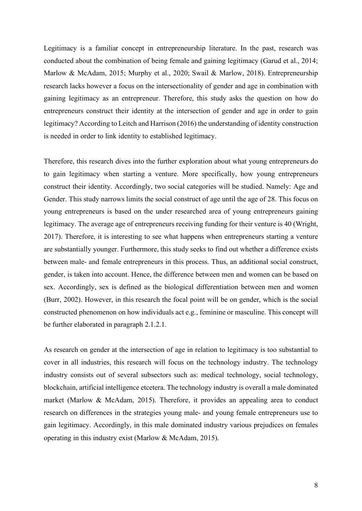Legitimacy is a familiar concept in entrepreneurship literature. In the past, research was conducted about the combination of being female and gaining legitimacy (Garud et al., 2014; Marlow & McAdam, 2015; Murphy et al., 2020; Swail & Marlow, 2018). Entrepreneurship research lacks however a focus on the intersectionality of gender and age in combination with gaining legitimacy as an entrepreneur. Therefore, this study asks the question on how do entrepreneurs construct their identity at the intersection of gender and age in order to gain legitimacy? According to Leitch and Harrison (2016) the understanding of identity construction is needed in order to link identity to established legitimacy.

Therefore, this research dives into the further exploration about what young entrepreneurs do to gain legitimacy when starting a venture. More specifically, how young entrepreneurs construct their identity. Accordingly, two social categories will be studied. Namely: Age and Gender. This study narrows limits the social construct of age until the age of 28. This focus on young entrepreneurs is based on the under researched area of young entrepreneurs gaining legitimacy. The average age of entrepreneurs receiving funding for their venture is 40 (Wright, 2017). Therefore, it is interesting to see what happens when entrepreneurs starting a venture are substantially younger. Furthermore, this study seeks to find out whether a difference exists between male- and female entrepreneurs in this process. Thus, an additional social construct, gender, is taken into account. Hence, the difference between men and women can be based on sex. Accordingly, sex is defined as the biological differentiation between men and women (Burr, 2002). However, in this research the focal point will be on gender, which is the social constructed phenomenon on how individuals act e.g., feminine or masculine. This concept will be further elaborated in paragraph 2.1.2.1.

As research on gender at the intersection of age in relation to legitimacy is too substantial to cover in all industries, this research will focus on the technology industry. The technology industry consists out of several subsectors such as: medical technology, social technology, blockchain, artificial intelligence etcetera. The technology industry is overall a male dominated market (Marlow & McAdam, 2015). Therefore, it provides an appealing area to conduct research on differences in the strategies young male- and young female entrepreneurs use to gain legitimacy. Accordingly, in this male dominated industry various prejudices on females operating in this industry exist (Marlow & McAdam, 2015).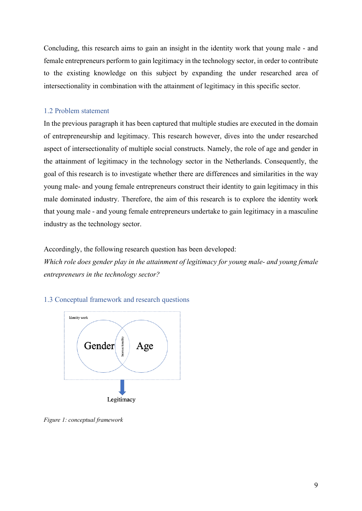Concluding, this research aims to gain an insight in the identity work that young male - and female entrepreneurs perform to gain legitimacy in the technology sector, in order to contribute to the existing knowledge on this subject by expanding the under researched area of intersectionality in combination with the attainment of legitimacy in this specific sector.

# <span id="page-9-0"></span>1.2 Problem statement

In the previous paragraph it has been captured that multiple studies are executed in the domain of entrepreneurship and legitimacy. This research however, dives into the under researched aspect of intersectionality of multiple social constructs. Namely, the role of age and gender in the attainment of legitimacy in the technology sector in the Netherlands. Consequently, the goal of this research is to investigate whether there are differences and similarities in the way young male- and young female entrepreneurs construct their identity to gain legitimacy in this male dominated industry. Therefore, the aim of this research is to explore the identity work that young male - and young female entrepreneurs undertake to gain legitimacy in a masculine industry as the technology sector.

Accordingly, the following research question has been developed:

*Which role does gender play in the attainment of legitimacy for young male- and young female entrepreneurs in the technology sector?*

<span id="page-9-1"></span>1.3 Conceptual framework and research questions



*Figure 1: conceptual framework*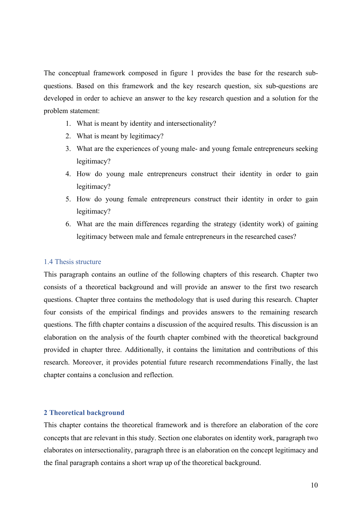The conceptual framework composed in figure 1 provides the base for the research subquestions. Based on this framework and the key research question, six sub-questions are developed in order to achieve an answer to the key research question and a solution for the problem statement:

- 1. What is meant by identity and intersectionality?
- 2. What is meant by legitimacy?
- 3. What are the experiences of young male- and young female entrepreneurs seeking legitimacy?
- 4. How do young male entrepreneurs construct their identity in order to gain legitimacy?
- 5. How do young female entrepreneurs construct their identity in order to gain legitimacy?
- 6. What are the main differences regarding the strategy (identity work) of gaining legitimacy between male and female entrepreneurs in the researched cases?

# <span id="page-10-0"></span>1.4 Thesis structure

This paragraph contains an outline of the following chapters of this research. Chapter two consists of a theoretical background and will provide an answer to the first two research questions. Chapter three contains the methodology that is used during this research. Chapter four consists of the empirical findings and provides answers to the remaining research questions. The fifth chapter contains a discussion of the acquired results. This discussion is an elaboration on the analysis of the fourth chapter combined with the theoretical background provided in chapter three. Additionally, it contains the limitation and contributions of this research. Moreover, it provides potential future research recommendations Finally, the last chapter contains a conclusion and reflection.

# <span id="page-10-1"></span>**2 Theoretical background**

This chapter contains the theoretical framework and is therefore an elaboration of the core concepts that are relevant in this study. Section one elaborates on identity work, paragraph two elaborates on intersectionality, paragraph three is an elaboration on the concept legitimacy and the final paragraph contains a short wrap up of the theoretical background.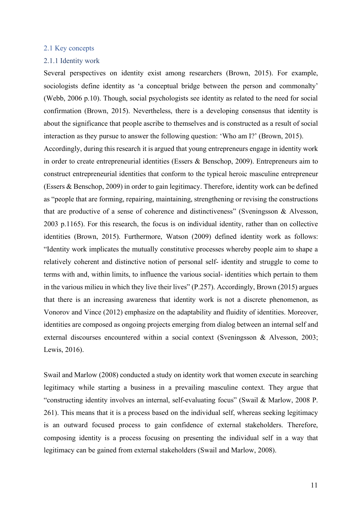# <span id="page-11-0"></span>2.1 Key concepts

#### <span id="page-11-1"></span>2.1.1 Identity work

Several perspectives on identity exist among researchers (Brown, 2015). For example, sociologists define identity as 'a conceptual bridge between the person and commonalty' (Webb, 2006 p.10). Though, social psychologists see identity as related to the need for social confirmation (Brown, 2015). Nevertheless, there is a developing consensus that identity is about the significance that people ascribe to themselves and is constructed as a result of social interaction as they pursue to answer the following question: 'Who am I?' (Brown, 2015).

Accordingly, during this research it is argued that young entrepreneurs engage in identity work in order to create entrepreneurial identities (Essers & Benschop, 2009). Entrepreneurs aim to construct entrepreneurial identities that conform to the typical heroic masculine entrepreneur (Essers & Benschop, 2009) in order to gain legitimacy. Therefore, identity work can be defined as "people that are forming, repairing, maintaining, strengthening or revising the constructions that are productive of a sense of coherence and distinctiveness" (Sveningsson & Alvesson, 2003 p.1165). For this research, the focus is on individual identity, rather than on collective identities (Brown, 2015). Furthermore, Watson (2009) defined identity work as follows: "Identity work implicates the mutually constitutive processes whereby people aim to shape a relatively coherent and distinctive notion of personal self- identity and struggle to come to terms with and, within limits, to influence the various social- identities which pertain to them in the various milieu in which they live their lives" (P.257). Accordingly, Brown (2015) argues that there is an increasing awareness that identity work is not a discrete phenomenon, as Vonorov and Vince (2012) emphasize on the adaptability and fluidity of identities. Moreover, identities are composed as ongoing projects emerging from dialog between an internal self and external discourses encountered within a social context (Sveningsson & Alvesson, 2003; Lewis, 2016).

Swail and Marlow (2008) conducted a study on identity work that women execute in searching legitimacy while starting a business in a prevailing masculine context. They argue that "constructing identity involves an internal, self-evaluating focus" (Swail & Marlow, 2008 P. 261). This means that it is a process based on the individual self, whereas seeking legitimacy is an outward focused process to gain confidence of external stakeholders. Therefore, composing identity is a process focusing on presenting the individual self in a way that legitimacy can be gained from external stakeholders (Swail and Marlow, 2008).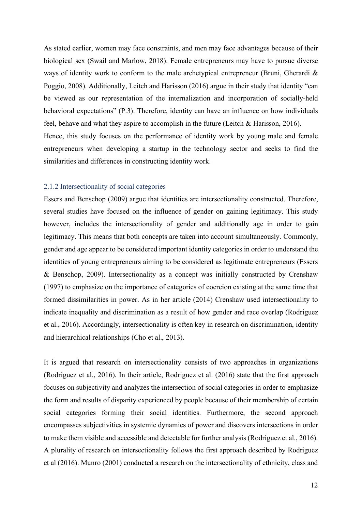As stated earlier, women may face constraints, and men may face advantages because of their biological sex (Swail and Marlow, 2018). Female entrepreneurs may have to pursue diverse ways of identity work to conform to the male archetypical entrepreneur (Bruni, Gherardi & Poggio, 2008). Additionally, Leitch and Harisson (2016) argue in their study that identity "can be viewed as our representation of the internalization and incorporation of socially-held behavioral expectations" (P.3). Therefore, identity can have an influence on how individuals feel, behave and what they aspire to accomplish in the future (Leitch & Harisson, 2016). Hence, this study focuses on the performance of identity work by young male and female entrepreneurs when developing a startup in the technology sector and seeks to find the

## <span id="page-12-0"></span>2.1.2 Intersectionality of social categories

similarities and differences in constructing identity work.

Essers and Benschop (2009) argue that identities are intersectionality constructed. Therefore, several studies have focused on the influence of gender on gaining legitimacy. This study however, includes the intersectionality of gender and additionally age in order to gain legitimacy. This means that both concepts are taken into account simultaneously. Commonly, gender and age appear to be considered important identity categories in order to understand the identities of young entrepreneurs aiming to be considered as legitimate entrepreneurs (Essers & Benschop, 2009). Intersectionality as a concept was initially constructed by Crenshaw (1997) to emphasize on the importance of categories of coercion existing at the same time that formed dissimilarities in power. As in her article (2014) Crenshaw used intersectionality to indicate inequality and discrimination as a result of how gender and race overlap (Rodriguez et al., 2016). Accordingly, intersectionality is often key in research on discrimination, identity and hierarchical relationships (Cho et al., 2013).

It is argued that research on intersectionality consists of two approaches in organizations (Rodriguez et al., 2016). In their article, Rodriguez et al. (2016) state that the first approach focuses on subjectivity and analyzes the intersection of social categories in order to emphasize the form and results of disparity experienced by people because of their membership of certain social categories forming their social identities. Furthermore, the second approach encompasses subjectivities in systemic dynamics of power and discovers intersections in order to make them visible and accessible and detectable for further analysis (Rodriguez et al., 2016). A plurality of research on intersectionality follows the first approach described by Rodriguez et al (2016). Munro (2001) conducted a research on the intersectionality of ethnicity, class and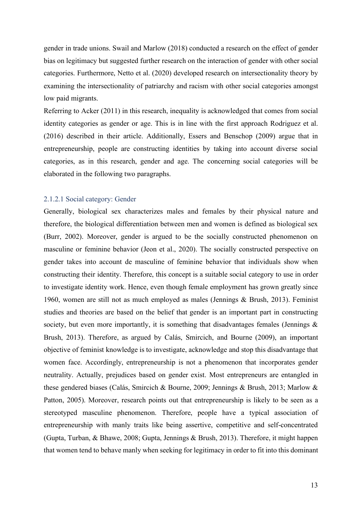gender in trade unions. Swail and Marlow (2018) conducted a research on the effect of gender bias on legitimacy but suggested further research on the interaction of gender with other social categories. Furthermore, Netto et al. (2020) developed research on intersectionality theory by examining the intersectionality of patriarchy and racism with other social categories amongst low paid migrants.

Referring to Acker (2011) in this research, inequality is acknowledged that comes from social identity categories as gender or age. This is in line with the first approach Rodriguez et al. (2016) described in their article. Additionally, Essers and Benschop (2009) argue that in entrepreneurship, people are constructing identities by taking into account diverse social categories, as in this research, gender and age. The concerning social categories will be elaborated in the following two paragraphs.

# <span id="page-13-0"></span>2.1.2.1 Social category: Gender

Generally, biological sex characterizes males and females by their physical nature and therefore, the biological differentiation between men and women is defined as biological sex (Burr, 2002). Moreover, gender is argued to be the socially constructed phenomenon on masculine or feminine behavior (Jeon et al., 2020). The socially constructed perspective on gender takes into account de masculine of feminine behavior that individuals show when constructing their identity. Therefore, this concept is a suitable social category to use in order to investigate identity work. Hence, even though female employment has grown greatly since 1960, women are still not as much employed as males (Jennings & Brush, 2013). Feminist studies and theories are based on the belief that gender is an important part in constructing society, but even more importantly, it is something that disadvantages females (Jennings  $\&$ Brush, 2013). Therefore, as argued by Calás, Smircich, and Bourne (2009), an important objective of feminist knowledge is to investigate, acknowledge and stop this disadvantage that women face. Accordingly, entrepreneurship is not a phenomenon that incorporates gender neutrality. Actually, prejudices based on gender exist. Most entrepreneurs are entangled in these gendered biases (Calás, Smircich & Bourne, 2009; Jennings & Brush, 2013; Marlow & Patton, 2005). Moreover, research points out that entrepreneurship is likely to be seen as a stereotyped masculine phenomenon. Therefore, people have a typical association of entrepreneurship with manly traits like being assertive, competitive and self-concentrated (Gupta, Turban, & Bhawe, 2008; Gupta, Jennings & Brush, 2013). Therefore, it might happen that women tend to behave manly when seeking for legitimacy in order to fit into this dominant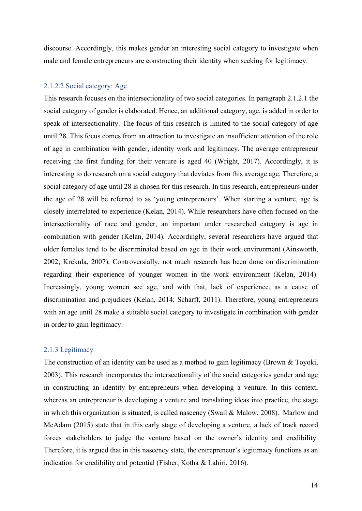discourse. Accordingly, this makes gender an interesting social category to investigate when male and female entrepreneurs are constructing their identity when seeking for legitimacy.

# <span id="page-14-0"></span>2.1.2.2 Social category: Age

This research focuses on the intersectionality of two social categories. In paragraph 2.1.2.1 the social category of gender is elaborated. Hence, an additional category, age, is added in order to speak of intersectionality. The focus of this research is limited to the social category of age until 28. This focus comes from an attraction to investigate an insufficient attention of the role of age in combination with gender, identity work and legitimacy. The average entrepreneur receiving the first funding for their venture is aged 40 (Wright, 2017). Accordingly, it is interesting to do research on a social category that deviates from this average age. Therefore, a social category of age until 28 is chosen for this research. In this research, entrepreneurs under the age of 28 will be referred to as 'young entrepreneurs'. When starting a venture, age is closely interrelated to experience (Kelan, 2014). While researchers have often focused on the intersectionality of race and gender, an important under researched category is age in combination with gender (Kelan, 2014). Accordingly, several researchers have argued that older females tend to be discriminated based on age in their work environment (Ainsworth, 2002; Krekula, 2007). Controversially, not much research has been done on discrimination regarding their experience of younger women in the work environment (Kelan, 2014). Increasingly, young women see age, and with that, lack of experience, as a cause of discrimination and prejudices (Kelan, 2014; Scharff, 2011). Therefore, young entrepreneurs with an age until 28 make a suitable social category to investigate in combination with gender in order to gain legitimacy.

# <span id="page-14-1"></span>2.1.3 Legitimacy

The construction of an identity can be used as a method to gain legitimacy (Brown & Toyoki, 2003). This research incorporates the intersectionality of the social categories gender and age in constructing an identity by entrepreneurs when developing a venture. In this context, whereas an entrepreneur is developing a venture and translating ideas into practice, the stage in which this organization is situated, is called nascency (Swail & Malow, 2008). Marlow and McAdam (2015) state that in this early stage of developing a venture, a lack of track record forces stakeholders to judge the venture based on the owner's identity and credibility. Therefore, it is argued that in this nascency state, the entrepreneur's legitimacy functions as an indication for credibility and potential (Fisher, Kotha & Lahiri, 2016).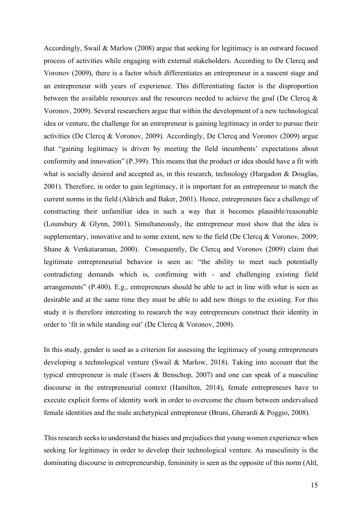Accordingly, Swail & Marlow (2008) argue that seeking for legitimacy is an outward focused process of activities while engaging with external stakeholders. According to De Clercq and Voronov (2009), there is a factor which differentiates an entrepreneur in a nascent stage and an entrepreneur with years of experience. This differentiating factor is the disproportion between the available resources and the resources needed to achieve the goal (De Clercq  $\&$ Voronov, 2009). Several researchers argue that within the development of a new technological idea or venture, the challenge for an entrepreneur is gaining legitimacy in order to pursue their activities (De Clercq & Voronov, 2009). Accordingly, De Clercq and Voronov (2009) argue that "gaining legitimacy is driven by meeting the field incumbents' expectations about conformity and innovation" (P.399). This means that the product or idea should have a fit with what is socially desired and accepted as, in this research, technology (Hargadon & Douglas, 2001). Therefore, in order to gain legitimacy, it is important for an entrepreneur to match the current norms in the field (Aldrich and Baker, 2001). Hence, entrepreneurs face a challenge of constructing their unfamiliar idea in such a way that it becomes plausible/reasonable (Lounsbury & Glynn, 2001). Simultaneously, the entrepreneur must show that the idea is supplementary, innovative and to some extent, new to the field (De Clercq & Voronov, 2009; Shane & Venkataraman, 2000). Consequently, De Clercq and Voronov (2009) claim that legitimate entrepreneurial behavior is seen as: "the ability to meet such potentially contradicting demands which is, confirming with - and challenging existing field arrangements" (P.400). E.g., entrepreneurs should be able to act in line with what is seen as desirable and at the same time they must be able to add new things to the existing. For this study it is therefore interesting to research the way entrepreneurs construct their identity in order to 'fit in while standing out' (De Clercq & Voronov, 2009).

In this study, gender is used as a criterion for assessing the legitimacy of young entrepreneurs developing a technological venture (Swail & Marlow, 2018). Taking into account that the typical entrepreneur is male (Essers & Benschop, 2007) and one can speak of a masculine discourse in the entrepreneurial context (Hamilton, 2014), female entrepreneurs have to execute explicit forms of identity work in order to overcome the chasm between undervalued female identities and the male archetypical entrepreneur (Bruni, Gherardi & Poggio, 2008).

This research seeks to understand the biases and prejudices that young women experience when seeking for legitimacy in order to develop their technological venture. As masculinity is the dominating discourse in entrepreneurship, femininity is seen as the opposite of this norm (Ahl,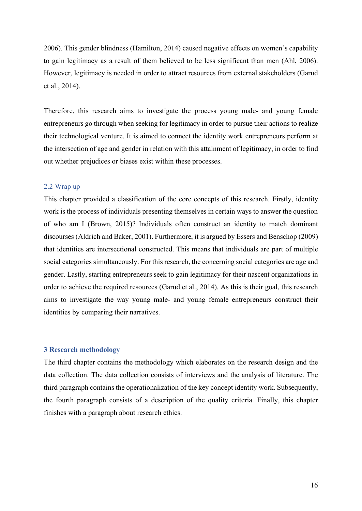2006). This gender blindness (Hamilton, 2014) caused negative effects on women's capability to gain legitimacy as a result of them believed to be less significant than men (Ahl, 2006). However, legitimacy is needed in order to attract resources from external stakeholders (Garud et al., 2014).

Therefore, this research aims to investigate the process young male- and young female entrepreneurs go through when seeking for legitimacy in order to pursue their actions to realize their technological venture. It is aimed to connect the identity work entrepreneurs perform at the intersection of age and gender in relation with this attainment of legitimacy, in order to find out whether prejudices or biases exist within these processes.

# 2.2 Wrap up

This chapter provided a classification of the core concepts of this research. Firstly, identity work is the process of individuals presenting themselves in certain ways to answer the question of who am I (Brown, 2015)? Individuals often construct an identity to match dominant discourses (Aldrich and Baker, 2001). Furthermore, it is argued by Essers and Benschop (2009) that identities are intersectional constructed. This means that individuals are part of multiple social categories simultaneously. For this research, the concerning social categories are age and gender. Lastly, starting entrepreneurs seek to gain legitimacy for their nascent organizations in order to achieve the required resources (Garud et al., 2014). As this is their goal, this research aims to investigate the way young male- and young female entrepreneurs construct their identities by comparing their narratives.

# <span id="page-16-0"></span>**3 Research methodology**

The third chapter contains the methodology which elaborates on the research design and the data collection. The data collection consists of interviews and the analysis of literature. The third paragraph contains the operationalization of the key concept identity work. Subsequently, the fourth paragraph consists of a description of the quality criteria. Finally, this chapter finishes with a paragraph about research ethics.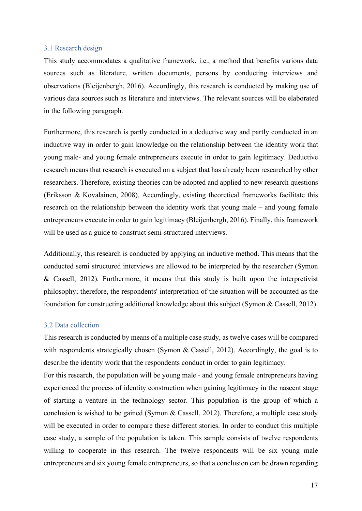# <span id="page-17-0"></span>3.1 Research design

This study accommodates a qualitative framework, i.e., a method that benefits various data sources such as literature, written documents, persons by conducting interviews and observations (Bleijenbergh, 2016). Accordingly, this research is conducted by making use of various data sources such as literature and interviews. The relevant sources will be elaborated in the following paragraph.

Furthermore, this research is partly conducted in a deductive way and partly conducted in an inductive way in order to gain knowledge on the relationship between the identity work that young male- and young female entrepreneurs execute in order to gain legitimacy. Deductive research means that research is executed on a subject that has already been researched by other researchers. Therefore, existing theories can be adopted and applied to new research questions (Eriksson & Kovalainen, 2008). Accordingly, existing theoretical frameworks facilitate this research on the relationship between the identity work that young male – and young female entrepreneurs execute in order to gain legitimacy (Bleijenbergh, 2016). Finally, this framework will be used as a guide to construct semi-structured interviews.

Additionally, this research is conducted by applying an inductive method. This means that the conducted semi structured interviews are allowed to be interpreted by the researcher (Symon & Cassell, 2012). Furthermore, it means that this study is built upon the interpretivist philosophy; therefore, the respondents' interpretation of the situation will be accounted as the foundation for constructing additional knowledge about this subject (Symon & Cassell, 2012).

# <span id="page-17-1"></span>3.2 Data collection

This research is conducted by means of a multiple case study, as twelve cases will be compared with respondents strategically chosen (Symon & Cassell, 2012). Accordingly, the goal is to describe the identity work that the respondents conduct in order to gain legitimacy.

For this research, the population will be young male - and young female entrepreneurs having experienced the process of identity construction when gaining legitimacy in the nascent stage of starting a venture in the technology sector. This population is the group of which a conclusion is wished to be gained (Symon & Cassell, 2012). Therefore, a multiple case study will be executed in order to compare these different stories. In order to conduct this multiple case study, a sample of the population is taken. This sample consists of twelve respondents willing to cooperate in this research. The twelve respondents will be six young male entrepreneurs and six young female entrepreneurs, so that a conclusion can be drawn regarding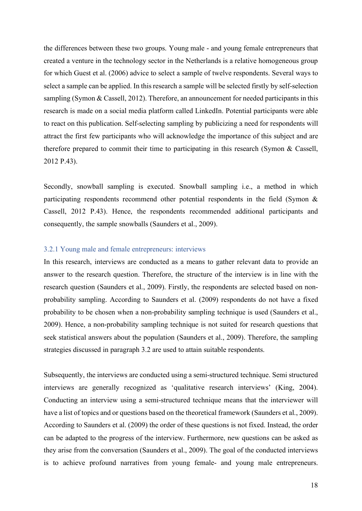the differences between these two groups. Young male - and young female entrepreneurs that created a venture in the technology sector in the Netherlands is a relative homogeneous group for which Guest et al. (2006) advice to select a sample of twelve respondents. Several ways to select a sample can be applied. In this research a sample will be selected firstly by self-selection sampling (Symon & Cassell, 2012). Therefore, an announcement for needed participants in this research is made on a social media platform called LinkedIn. Potential participants were able to react on this publication. Self-selecting sampling by publicizing a need for respondents will attract the first few participants who will acknowledge the importance of this subject and are therefore prepared to commit their time to participating in this research (Symon & Cassell, 2012 P.43).

Secondly, snowball sampling is executed. Snowball sampling i.e., a method in which participating respondents recommend other potential respondents in the field (Symon & Cassell, 2012 P.43). Hence, the respondents recommended additional participants and consequently, the sample snowballs (Saunders et al., 2009).

# <span id="page-18-0"></span>3.2.1 Young male and female entrepreneurs: interviews

In this research, interviews are conducted as a means to gather relevant data to provide an answer to the research question. Therefore, the structure of the interview is in line with the research question (Saunders et al., 2009). Firstly, the respondents are selected based on nonprobability sampling. According to Saunders et al. (2009) respondents do not have a fixed probability to be chosen when a non-probability sampling technique is used (Saunders et al., 2009). Hence, a non-probability sampling technique is not suited for research questions that seek statistical answers about the population (Saunders et al., 2009). Therefore, the sampling strategies discussed in paragraph 3.2 are used to attain suitable respondents.

Subsequently, the interviews are conducted using a semi-structured technique. Semi structured interviews are generally recognized as 'qualitative research interviews' (King, 2004). Conducting an interview using a semi-structured technique means that the interviewer will have a list of topics and or questions based on the theoretical framework (Saunders et al., 2009). According to Saunders et al. (2009) the order of these questions is not fixed. Instead, the order can be adapted to the progress of the interview. Furthermore, new questions can be asked as they arise from the conversation (Saunders et al., 2009). The goal of the conducted interviews is to achieve profound narratives from young female- and young male entrepreneurs.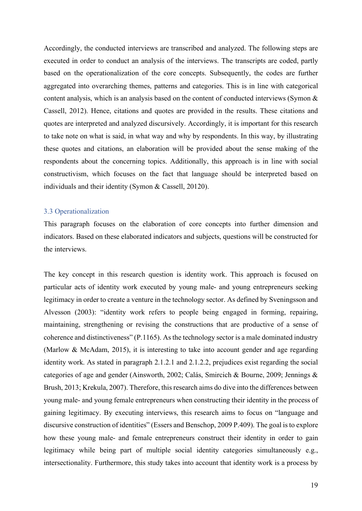Accordingly, the conducted interviews are transcribed and analyzed. The following steps are executed in order to conduct an analysis of the interviews. The transcripts are coded, partly based on the operationalization of the core concepts. Subsequently, the codes are further aggregated into overarching themes, patterns and categories. This is in line with categorical content analysis, which is an analysis based on the content of conducted interviews (Symon & Cassell, 2012). Hence, citations and quotes are provided in the results. These citations and quotes are interpreted and analyzed discursively. Accordingly, it is important for this research to take note on what is said, in what way and why by respondents. In this way, by illustrating these quotes and citations, an elaboration will be provided about the sense making of the respondents about the concerning topics. Additionally, this approach is in line with social constructivism, which focuses on the fact that language should be interpreted based on individuals and their identity (Symon & Cassell, 20120).

# <span id="page-19-0"></span>3.3 Operationalization

This paragraph focuses on the elaboration of core concepts into further dimension and indicators. Based on these elaborated indicators and subjects, questions will be constructed for the interviews.

The key concept in this research question is identity work. This approach is focused on particular acts of identity work executed by young male- and young entrepreneurs seeking legitimacy in order to create a venture in the technology sector. As defined by Sveningsson and Alvesson (2003): "identity work refers to people being engaged in forming, repairing, maintaining, strengthening or revising the constructions that are productive of a sense of coherence and distinctiveness" (P.1165). As the technology sector is a male dominated industry (Marlow & McAdam, 2015), it is interesting to take into account gender and age regarding identity work. As stated in paragraph 2.1.2.1 and 2.1.2.2, prejudices exist regarding the social categories of age and gender (Ainsworth, 2002; Calás, Smircich & Bourne, 2009; Jennings & Brush, 2013; Krekula, 2007). Therefore, this research aims do dive into the differences between young male- and young female entrepreneurs when constructing their identity in the process of gaining legitimacy. By executing interviews, this research aims to focus on "language and discursive construction of identities" (Essers and Benschop, 2009 P.409). The goal is to explore how these young male- and female entrepreneurs construct their identity in order to gain legitimacy while being part of multiple social identity categories simultaneously e.g., intersectionality. Furthermore, this study takes into account that identity work is a process by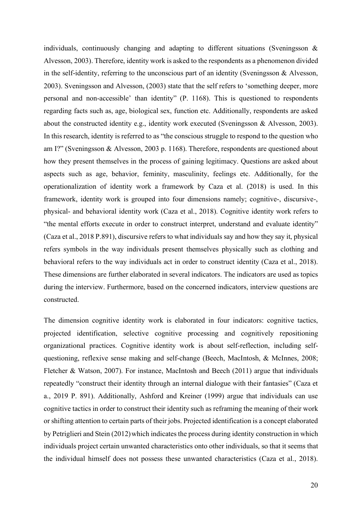individuals, continuously changing and adapting to different situations (Sveningsson & Alvesson, 2003). Therefore, identity work is asked to the respondents as a phenomenon divided in the self-identity, referring to the unconscious part of an identity (Sveningsson & Alvesson, 2003). Sveningsson and Alvesson, (2003) state that the self refers to 'something deeper, more personal and non-accessible' than identity" (P. 1168). This is questioned to respondents regarding facts such as, age, biological sex, function etc. Additionally, respondents are asked about the constructed identity e.g., identity work executed (Sveningsson & Alvesson, 2003). In this research, identity is referred to as "the conscious struggle to respond to the question who am I?" (Sveningsson & Alvesson, 2003 p. 1168). Therefore, respondents are questioned about how they present themselves in the process of gaining legitimacy. Questions are asked about aspects such as age, behavior, feminity, masculinity, feelings etc. Additionally, for the operationalization of identity work a framework by Caza et al. (2018) is used. In this framework, identity work is grouped into four dimensions namely; cognitive-, discursive-, physical- and behavioral identity work (Caza et al., 2018). Cognitive identity work refers to "the mental efforts execute in order to construct interpret, understand and evaluate identity" (Caza et al., 2018 P.891), discursive refers to what individuals say and how they say it, physical refers symbols in the way individuals present themselves physically such as clothing and behavioral refers to the way individuals act in order to construct identity (Caza et al., 2018). These dimensions are further elaborated in several indicators. The indicators are used as topics during the interview. Furthermore, based on the concerned indicators, interview questions are constructed.

The dimension cognitive identity work is elaborated in four indicators: cognitive tactics, projected identification, selective cognitive processing and cognitively repositioning organizational practices. Cognitive identity work is about self-reflection, including selfquestioning, reflexive sense making and self-change (Beech, MacIntosh, & McInnes, 2008; Fletcher & Watson, 2007). For instance, MacIntosh and Beech (2011) argue that individuals repeatedly "construct their identity through an internal dialogue with their fantasies" (Caza et a., 2019 P. 891). Additionally, Ashford and Kreiner (1999) argue that individuals can use cognitive tactics in order to construct their identity such as reframing the meaning of their work or shifting attention to certain parts of their jobs. Projected identification is a concept elaborated by Petriglieri and Stein (2012) which indicates the process during identity construction in which individuals project certain unwanted characteristics onto other individuals, so that it seems that the individual himself does not possess these unwanted characteristics (Caza et al., 2018).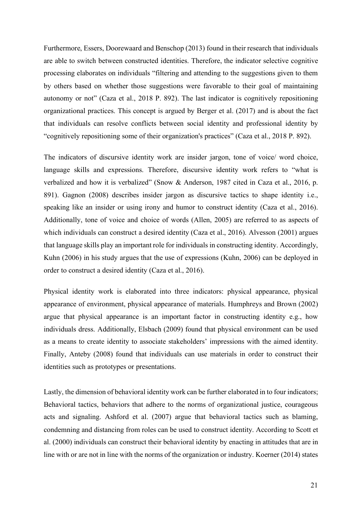Furthermore, Essers, Doorewaard and Benschop (2013) found in their research that individuals are able to switch between constructed identities. Therefore, the indicator selective cognitive processing elaborates on individuals "filtering and attending to the suggestions given to them by others based on whether those suggestions were favorable to their goal of maintaining autonomy or not" (Caza et al., 2018 P. 892). The last indicator is cognitively repositioning organizational practices. This concept is argued by Berger et al. (2017) and is about the fact that individuals can resolve conflicts between social identity and professional identity by "cognitively repositioning some of their organization's practices" (Caza et al., 2018 P. 892).

The indicators of discursive identity work are insider jargon, tone of voice/ word choice, language skills and expressions. Therefore, discursive identity work refers to "what is verbalized and how it is verbalized" (Snow & Anderson, 1987 cited in Caza et al., 2016, p. 891). Gagnon (2008) describes insider jargon as discursive tactics to shape identity i.e., speaking like an insider or using irony and humor to construct identity (Caza et al., 2016). Additionally, tone of voice and choice of words (Allen, 2005) are referred to as aspects of which individuals can construct a desired identity (Caza et al., 2016). Alvesson (2001) argues that language skills play an important role for individuals in constructing identity. Accordingly, Kuhn (2006) in his study argues that the use of expressions (Kuhn, 2006) can be deployed in order to construct a desired identity (Caza et al., 2016).

Physical identity work is elaborated into three indicators: physical appearance, physical appearance of environment, physical appearance of materials. Humphreys and Brown (2002) argue that physical appearance is an important factor in constructing identity e.g., how individuals dress. Additionally, Elsbach (2009) found that physical environment can be used as a means to create identity to associate stakeholders' impressions with the aimed identity. Finally, Anteby (2008) found that individuals can use materials in order to construct their identities such as prototypes or presentations.

Lastly, the dimension of behavioral identity work can be further elaborated in to four indicators; Behavioral tactics, behaviors that adhere to the norms of organizational justice, courageous acts and signaling. Ashford et al. (2007) argue that behavioral tactics such as blaming, condemning and distancing from roles can be used to construct identity. According to Scott et al. (2000) individuals can construct their behavioral identity by enacting in attitudes that are in line with or are not in line with the norms of the organization or industry. Koerner (2014) states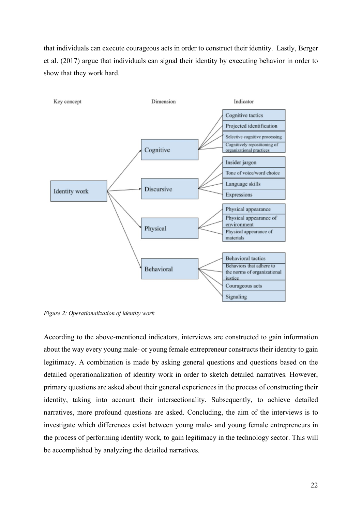that individuals can execute courageous acts in order to construct their identity. Lastly, Berger et al. (2017) argue that individuals can signal their identity by executing behavior in order to show that they work hard.



*Figure 2: Operationalization of identity work*

According to the above-mentioned indicators, interviews are constructed to gain information about the way every young male- or young female entrepreneur constructs their identity to gain legitimacy. A combination is made by asking general questions and questions based on the detailed operationalization of identity work in order to sketch detailed narratives. However, primary questions are asked about their general experiences in the process of constructing their identity, taking into account their intersectionality. Subsequently, to achieve detailed narratives, more profound questions are asked. Concluding, the aim of the interviews is to investigate which differences exist between young male- and young female entrepreneurs in the process of performing identity work, to gain legitimacy in the technology sector. This will be accomplished by analyzing the detailed narratives.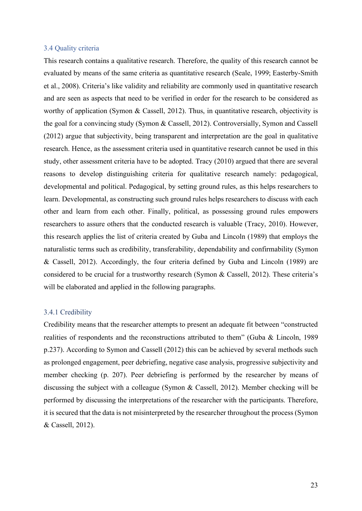## <span id="page-23-0"></span>3.4 Quality criteria

This research contains a qualitative research. Therefore, the quality of this research cannot be evaluated by means of the same criteria as quantitative research (Seale, 1999; Easterby-Smith et al., 2008). Criteria's like validity and reliability are commonly used in quantitative research and are seen as aspects that need to be verified in order for the research to be considered as worthy of application (Symon & Cassell, 2012). Thus, in quantitative research, objectivity is the goal for a convincing study (Symon & Cassell, 2012). Controversially, Symon and Cassell (2012) argue that subjectivity, being transparent and interpretation are the goal in qualitative research. Hence, as the assessment criteria used in quantitative research cannot be used in this study, other assessment criteria have to be adopted. Tracy (2010) argued that there are several reasons to develop distinguishing criteria for qualitative research namely: pedagogical, developmental and political. Pedagogical, by setting ground rules, as this helps researchers to learn. Developmental, as constructing such ground rules helps researchers to discuss with each other and learn from each other. Finally, political, as possessing ground rules empowers researchers to assure others that the conducted research is valuable (Tracy, 2010). However, this research applies the list of criteria created by Guba and Lincoln (1989) that employs the naturalistic terms such as credibility, transferability, dependability and confirmability (Symon & Cassell, 2012). Accordingly, the four criteria defined by Guba and Lincoln (1989) are considered to be crucial for a trustworthy research (Symon & Cassell, 2012). These criteria's will be elaborated and applied in the following paragraphs.

# <span id="page-23-1"></span>3.4.1 Credibility

Credibility means that the researcher attempts to present an adequate fit between "constructed realities of respondents and the reconstructions attributed to them" (Guba & Lincoln, 1989 p.237). According to Symon and Cassell (2012) this can be achieved by several methods such as prolonged engagement, peer debriefing, negative case analysis, progressive subjectivity and member checking (p. 207). Peer debriefing is performed by the researcher by means of discussing the subject with a colleague (Symon & Cassell, 2012). Member checking will be performed by discussing the interpretations of the researcher with the participants. Therefore, it is secured that the data is not misinterpreted by the researcher throughout the process (Symon & Cassell, 2012).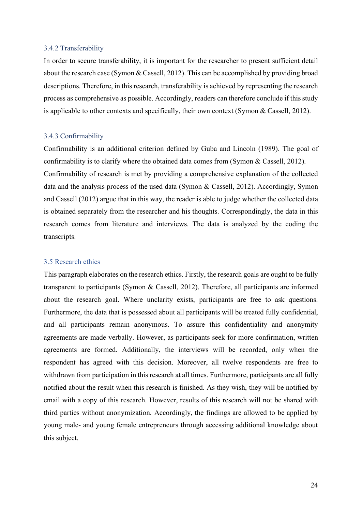## <span id="page-24-0"></span>3.4.2 Transferability

In order to secure transferability, it is important for the researcher to present sufficient detail about the research case (Symon & Cassell, 2012). This can be accomplished by providing broad descriptions. Therefore, in this research, transferability is achieved by representing the research process as comprehensive as possible. Accordingly, readers can therefore conclude if this study is applicable to other contexts and specifically, their own context (Symon & Cassell, 2012).

# <span id="page-24-1"></span>3.4.3 Confirmability

Confirmability is an additional criterion defined by Guba and Lincoln (1989). The goal of confirmability is to clarify where the obtained data comes from (Symon & Cassell, 2012). Confirmability of research is met by providing a comprehensive explanation of the collected data and the analysis process of the used data (Symon & Cassell, 2012). Accordingly, Symon and Cassell (2012) argue that in this way, the reader is able to judge whether the collected data is obtained separately from the researcher and his thoughts. Correspondingly, the data in this research comes from literature and interviews. The data is analyzed by the coding the transcripts.

# <span id="page-24-2"></span>3.5 Research ethics

This paragraph elaborates on the research ethics. Firstly, the research goals are ought to be fully transparent to participants (Symon & Cassell, 2012). Therefore, all participants are informed about the research goal. Where unclarity exists, participants are free to ask questions. Furthermore, the data that is possessed about all participants will be treated fully confidential, and all participants remain anonymous. To assure this confidentiality and anonymity agreements are made verbally. However, as participants seek for more confirmation, written agreements are formed. Additionally, the interviews will be recorded, only when the respondent has agreed with this decision. Moreover, all twelve respondents are free to withdrawn from participation in this research at all times. Furthermore, participants are all fully notified about the result when this research is finished. As they wish, they will be notified by email with a copy of this research. However, results of this research will not be shared with third parties without anonymization. Accordingly, the findings are allowed to be applied by young male- and young female entrepreneurs through accessing additional knowledge about this subject.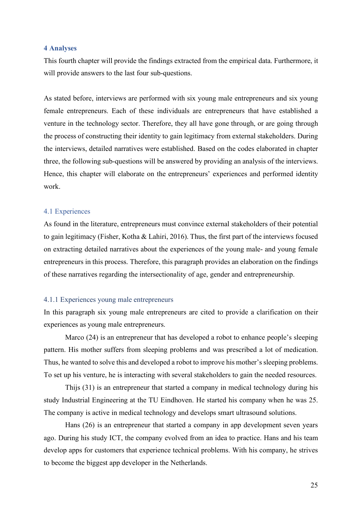# <span id="page-25-0"></span>**4 Analyses**

This fourth chapter will provide the findings extracted from the empirical data. Furthermore, it will provide answers to the last four sub-questions.

As stated before, interviews are performed with six young male entrepreneurs and six young female entrepreneurs. Each of these individuals are entrepreneurs that have established a venture in the technology sector. Therefore, they all have gone through, or are going through the process of constructing their identity to gain legitimacy from external stakeholders. During the interviews, detailed narratives were established. Based on the codes elaborated in chapter three, the following sub-questions will be answered by providing an analysis of the interviews. Hence, this chapter will elaborate on the entrepreneurs' experiences and performed identity work.

# <span id="page-25-1"></span>4.1 Experiences

As found in the literature, entrepreneurs must convince external stakeholders of their potential to gain legitimacy (Fisher, Kotha & Lahiri, 2016). Thus, the first part of the interviews focused on extracting detailed narratives about the experiences of the young male- and young female entrepreneurs in this process. Therefore, this paragraph provides an elaboration on the findings of these narratives regarding the intersectionality of age, gender and entrepreneurship.

#### <span id="page-25-2"></span>4.1.1 Experiences young male entrepreneurs

In this paragraph six young male entrepreneurs are cited to provide a clarification on their experiences as young male entrepreneurs.

Marco (24) is an entrepreneur that has developed a robot to enhance people's sleeping pattern. His mother suffers from sleeping problems and was prescribed a lot of medication. Thus, he wanted to solve this and developed a robot to improve his mother's sleeping problems. To set up his venture, he is interacting with several stakeholders to gain the needed resources.

Thijs (31) is an entrepreneur that started a company in medical technology during his study Industrial Engineering at the TU Eindhoven. He started his company when he was 25. The company is active in medical technology and develops smart ultrasound solutions.

Hans (26) is an entrepreneur that started a company in app development seven years ago. During his study ICT, the company evolved from an idea to practice. Hans and his team develop apps for customers that experience technical problems. With his company, he strives to become the biggest app developer in the Netherlands.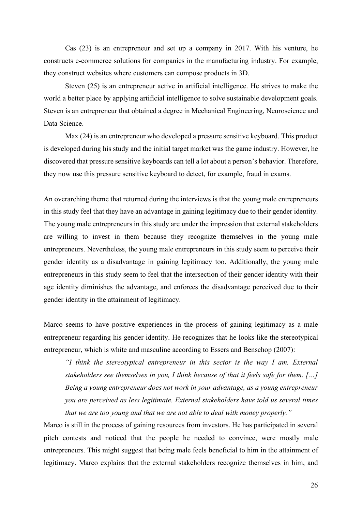Cas (23) is an entrepreneur and set up a company in 2017. With his venture, he constructs e-commerce solutions for companies in the manufacturing industry. For example, they construct websites where customers can compose products in 3D.

Steven (25) is an entrepreneur active in artificial intelligence. He strives to make the world a better place by applying artificial intelligence to solve sustainable development goals. Steven is an entrepreneur that obtained a degree in Mechanical Engineering, Neuroscience and Data Science.

Max (24) is an entrepreneur who developed a pressure sensitive keyboard. This product is developed during his study and the initial target market was the game industry. However, he discovered that pressure sensitive keyboards can tell a lot about a person's behavior. Therefore, they now use this pressure sensitive keyboard to detect, for example, fraud in exams.

An overarching theme that returned during the interviews is that the young male entrepreneurs in this study feel that they have an advantage in gaining legitimacy due to their gender identity. The young male entrepreneurs in this study are under the impression that external stakeholders are willing to invest in them because they recognize themselves in the young male entrepreneurs. Nevertheless, the young male entrepreneurs in this study seem to perceive their gender identity as a disadvantage in gaining legitimacy too. Additionally, the young male entrepreneurs in this study seem to feel that the intersection of their gender identity with their age identity diminishes the advantage, and enforces the disadvantage perceived due to their gender identity in the attainment of legitimacy.

Marco seems to have positive experiences in the process of gaining legitimacy as a male entrepreneur regarding his gender identity. He recognizes that he looks like the stereotypical entrepreneur, which is white and masculine according to Essers and Benschop (2007):

*"I think the stereotypical entrepreneur in this sector is the way I am. External stakeholders see themselves in you, I think because of that it feels safe for them. […] Being a young entrepreneur does not work in your advantage, as a young entrepreneur you are perceived as less legitimate. External stakeholders have told us several times that we are too young and that we are not able to deal with money properly."*

Marco is still in the process of gaining resources from investors. He has participated in several pitch contests and noticed that the people he needed to convince, were mostly male entrepreneurs. This might suggest that being male feels beneficial to him in the attainment of legitimacy. Marco explains that the external stakeholders recognize themselves in him, and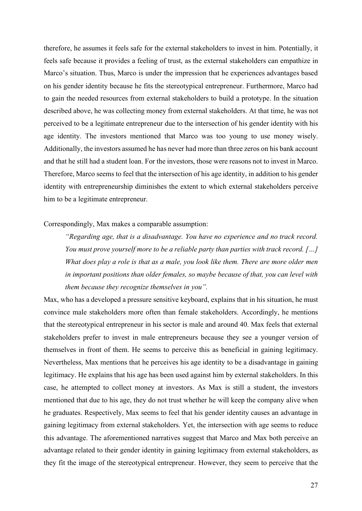therefore, he assumes it feels safe for the external stakeholders to invest in him. Potentially, it feels safe because it provides a feeling of trust, as the external stakeholders can empathize in Marco's situation. Thus, Marco is under the impression that he experiences advantages based on his gender identity because he fits the stereotypical entrepreneur. Furthermore, Marco had to gain the needed resources from external stakeholders to build a prototype. In the situation described above, he was collecting money from external stakeholders. At that time, he was not perceived to be a legitimate entrepreneur due to the intersection of his gender identity with his age identity. The investors mentioned that Marco was too young to use money wisely. Additionally, the investors assumed he has never had more than three zeros on his bank account and that he still had a student loan. For the investors, those were reasons not to invest in Marco. Therefore, Marco seems to feel that the intersection of his age identity, in addition to his gender identity with entrepreneurship diminishes the extent to which external stakeholders perceive him to be a legitimate entrepreneur.

# Correspondingly, Max makes a comparable assumption:

*"Regarding age, that is a disadvantage. You have no experience and no track record. You must prove yourself more to be a reliable party than parties with track record. […] What does play a role is that as a male, you look like them. There are more older men in important positions than older females, so maybe because of that, you can level with them because they recognize themselves in you".*

Max, who has a developed a pressure sensitive keyboard, explains that in his situation, he must convince male stakeholders more often than female stakeholders. Accordingly, he mentions that the stereotypical entrepreneur in his sector is male and around 40. Max feels that external stakeholders prefer to invest in male entrepreneurs because they see a younger version of themselves in front of them. He seems to perceive this as beneficial in gaining legitimacy. Nevertheless, Max mentions that he perceives his age identity to be a disadvantage in gaining legitimacy. He explains that his age has been used against him by external stakeholders. In this case, he attempted to collect money at investors. As Max is still a student, the investors mentioned that due to his age, they do not trust whether he will keep the company alive when he graduates. Respectively, Max seems to feel that his gender identity causes an advantage in gaining legitimacy from external stakeholders. Yet, the intersection with age seems to reduce this advantage. The aforementioned narratives suggest that Marco and Max both perceive an advantage related to their gender identity in gaining legitimacy from external stakeholders, as they fit the image of the stereotypical entrepreneur. However, they seem to perceive that the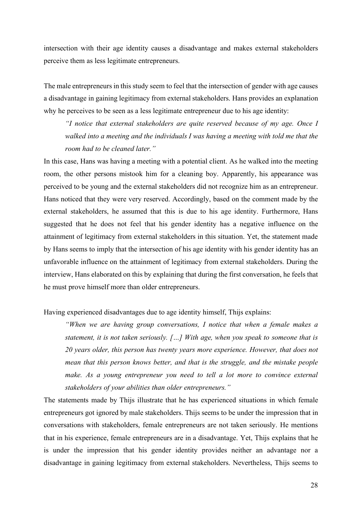intersection with their age identity causes a disadvantage and makes external stakeholders perceive them as less legitimate entrepreneurs.

The male entrepreneurs in this study seem to feel that the intersection of gender with age causes a disadvantage in gaining legitimacy from external stakeholders. Hans provides an explanation why he perceives to be seen as a less legitimate entrepreneur due to his age identity:

*"I notice that external stakeholders are quite reserved because of my age. Once I walked into a meeting and the individuals I was having a meeting with told me that the room had to be cleaned later."* 

In this case, Hans was having a meeting with a potential client. As he walked into the meeting room, the other persons mistook him for a cleaning boy. Apparently, his appearance was perceived to be young and the external stakeholders did not recognize him as an entrepreneur. Hans noticed that they were very reserved. Accordingly, based on the comment made by the external stakeholders, he assumed that this is due to his age identity. Furthermore, Hans suggested that he does not feel that his gender identity has a negative influence on the attainment of legitimacy from external stakeholders in this situation. Yet, the statement made by Hans seems to imply that the intersection of his age identity with his gender identity has an unfavorable influence on the attainment of legitimacy from external stakeholders. During the interview, Hans elaborated on this by explaining that during the first conversation, he feels that he must prove himself more than older entrepreneurs.

Having experienced disadvantages due to age identity himself, Thijs explains:

*"When we are having group conversations, I notice that when a female makes a statement, it is not taken seriously. […] With age, when you speak to someone that is 20 years older, this person has twenty years more experience. However, that does not mean that this person knows better, and that is the struggle, and the mistake people*  make. As a young entrepreneur you need to tell a lot more to convince external *stakeholders of your abilities than older entrepreneurs."*

The statements made by Thijs illustrate that he has experienced situations in which female entrepreneurs got ignored by male stakeholders. Thijs seems to be under the impression that in conversations with stakeholders, female entrepreneurs are not taken seriously. He mentions that in his experience, female entrepreneurs are in a disadvantage. Yet, Thijs explains that he is under the impression that his gender identity provides neither an advantage nor a disadvantage in gaining legitimacy from external stakeholders. Nevertheless, Thijs seems to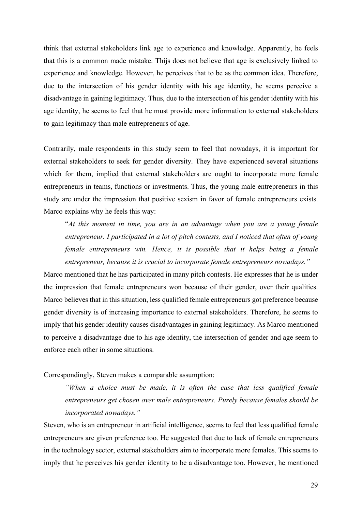think that external stakeholders link age to experience and knowledge. Apparently, he feels that this is a common made mistake. Thijs does not believe that age is exclusively linked to experience and knowledge. However, he perceives that to be as the common idea. Therefore, due to the intersection of his gender identity with his age identity, he seems perceive a disadvantage in gaining legitimacy. Thus, due to the intersection of his gender identity with his age identity, he seems to feel that he must provide more information to external stakeholders to gain legitimacy than male entrepreneurs of age.

Contrarily, male respondents in this study seem to feel that nowadays, it is important for external stakeholders to seek for gender diversity. They have experienced several situations which for them, implied that external stakeholders are ought to incorporate more female entrepreneurs in teams, functions or investments. Thus, the young male entrepreneurs in this study are under the impression that positive sexism in favor of female entrepreneurs exists. Marco explains why he feels this way:

"*At this moment in time, you are in an advantage when you are a young female entrepreneur. I participated in a lot of pitch contests, and I noticed that often of young female entrepreneurs win. Hence, it is possible that it helps being a female entrepreneur, because it is crucial to incorporate female entrepreneurs nowadays."*

Marco mentioned that he has participated in many pitch contests. He expresses that he is under the impression that female entrepreneurs won because of their gender, over their qualities. Marco believes that in this situation, less qualified female entrepreneurs got preference because gender diversity is of increasing importance to external stakeholders. Therefore, he seems to imply that his gender identity causes disadvantages in gaining legitimacy. As Marco mentioned to perceive a disadvantage due to his age identity, the intersection of gender and age seem to enforce each other in some situations.

# Correspondingly, Steven makes a comparable assumption:

*"When a choice must be made, it is often the case that less qualified female entrepreneurs get chosen over male entrepreneurs. Purely because females should be incorporated nowadays."*

Steven, who is an entrepreneur in artificial intelligence, seems to feel that less qualified female entrepreneurs are given preference too. He suggested that due to lack of female entrepreneurs in the technology sector, external stakeholders aim to incorporate more females. This seems to imply that he perceives his gender identity to be a disadvantage too. However, he mentioned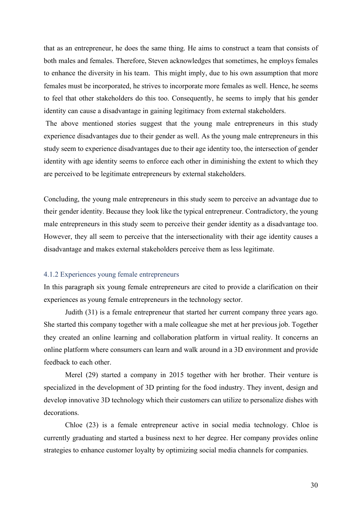that as an entrepreneur, he does the same thing. He aims to construct a team that consists of both males and females. Therefore, Steven acknowledges that sometimes, he employs females to enhance the diversity in his team. This might imply, due to his own assumption that more females must be incorporated, he strives to incorporate more females as well. Hence, he seems to feel that other stakeholders do this too. Consequently, he seems to imply that his gender identity can cause a disadvantage in gaining legitimacy from external stakeholders.

The above mentioned stories suggest that the young male entrepreneurs in this study experience disadvantages due to their gender as well. As the young male entrepreneurs in this study seem to experience disadvantages due to their age identity too, the intersection of gender identity with age identity seems to enforce each other in diminishing the extent to which they are perceived to be legitimate entrepreneurs by external stakeholders.

Concluding, the young male entrepreneurs in this study seem to perceive an advantage due to their gender identity. Because they look like the typical entrepreneur. Contradictory, the young male entrepreneurs in this study seem to perceive their gender identity as a disadvantage too. However, they all seem to perceive that the intersectionality with their age identity causes a disadvantage and makes external stakeholders perceive them as less legitimate.

#### <span id="page-30-0"></span>4.1.2 Experiences young female entrepreneurs

In this paragraph six young female entrepreneurs are cited to provide a clarification on their experiences as young female entrepreneurs in the technology sector.

Judith (31) is a female entrepreneur that started her current company three years ago. She started this company together with a male colleague she met at her previous job. Together they created an online learning and collaboration platform in virtual reality. It concerns an online platform where consumers can learn and walk around in a 3D environment and provide feedback to each other.

Merel (29) started a company in 2015 together with her brother. Their venture is specialized in the development of 3D printing for the food industry. They invent, design and develop innovative 3D technology which their customers can utilize to personalize dishes with decorations.

Chloe (23) is a female entrepreneur active in social media technology. Chloe is currently graduating and started a business next to her degree. Her company provides online strategies to enhance customer loyalty by optimizing social media channels for companies.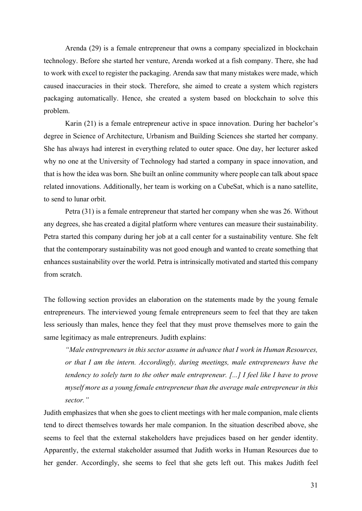Arenda (29) is a female entrepreneur that owns a company specialized in blockchain technology. Before she started her venture, Arenda worked at a fish company. There, she had to work with excel to register the packaging. Arenda saw that many mistakes were made, which caused inaccuracies in their stock. Therefore, she aimed to create a system which registers packaging automatically. Hence, she created a system based on blockchain to solve this problem.

Karin (21) is a female entrepreneur active in space innovation. During her bachelor's degree in Science of Architecture, Urbanism and Building Sciences she started her company. She has always had interest in everything related to outer space. One day, her lecturer asked why no one at the University of Technology had started a company in space innovation, and that is how the idea was born. She built an online community where people can talk about space related innovations. Additionally, her team is working on a CubeSat, which is a nano satellite, to send to lunar orbit.

Petra (31) is a female entrepreneur that started her company when she was 26. Without any degrees, she has created a digital platform where ventures can measure their sustainability. Petra started this company during her job at a call center for a sustainability venture. She felt that the contemporary sustainability was not good enough and wanted to create something that enhances sustainability over the world. Petra is intrinsically motivated and started this company from scratch.

The following section provides an elaboration on the statements made by the young female entrepreneurs. The interviewed young female entrepreneurs seem to feel that they are taken less seriously than males, hence they feel that they must prove themselves more to gain the same legitimacy as male entrepreneurs. Judith explains:

*"Male entrepreneurs in this sector assume in advance that I work in Human Resources, or that I am the intern. Accordingly, during meetings, male entrepreneurs have the tendency to solely turn to the other male entrepreneur. [...] I feel like I have to prove myself more as a young female entrepreneur than the average male entrepreneur in this sector."*

Judith emphasizes that when she goes to client meetings with her male companion, male clients tend to direct themselves towards her male companion. In the situation described above, she seems to feel that the external stakeholders have prejudices based on her gender identity. Apparently, the external stakeholder assumed that Judith works in Human Resources due to her gender. Accordingly, she seems to feel that she gets left out. This makes Judith feel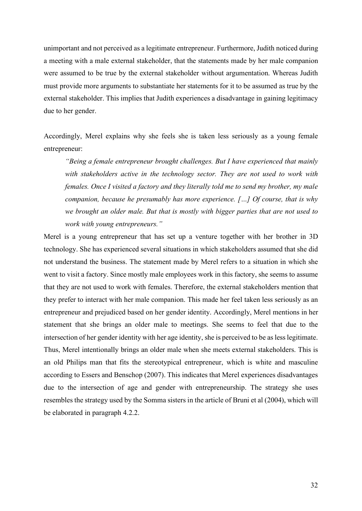unimportant and not perceived as a legitimate entrepreneur. Furthermore, Judith noticed during a meeting with a male external stakeholder, that the statements made by her male companion were assumed to be true by the external stakeholder without argumentation. Whereas Judith must provide more arguments to substantiate her statements for it to be assumed as true by the external stakeholder. This implies that Judith experiences a disadvantage in gaining legitimacy due to her gender.

Accordingly, Merel explains why she feels she is taken less seriously as a young female entrepreneur:

*"Being a female entrepreneur brought challenges. But I have experienced that mainly with stakeholders active in the technology sector. They are not used to work with females. Once I visited a factory and they literally told me to send my brother, my male companion, because he presumably has more experience. […] Of course, that is why we brought an older male. But that is mostly with bigger parties that are not used to work with young entrepreneurs."*

Merel is a young entrepreneur that has set up a venture together with her brother in 3D technology. She has experienced several situations in which stakeholders assumed that she did not understand the business. The statement made by Merel refers to a situation in which she went to visit a factory. Since mostly male employees work in this factory, she seems to assume that they are not used to work with females. Therefore, the external stakeholders mention that they prefer to interact with her male companion. This made her feel taken less seriously as an entrepreneur and prejudiced based on her gender identity. Accordingly, Merel mentions in her statement that she brings an older male to meetings. She seems to feel that due to the intersection of her gender identity with her age identity, she is perceived to be as less legitimate. Thus, Merel intentionally brings an older male when she meets external stakeholders. This is an old Philips man that fits the stereotypical entrepreneur, which is white and masculine according to Essers and Benschop (2007). This indicates that Merel experiences disadvantages due to the intersection of age and gender with entrepreneurship. The strategy she uses resembles the strategy used by the Somma sisters in the article of Bruni et al (2004), which will be elaborated in paragraph 4.2.2.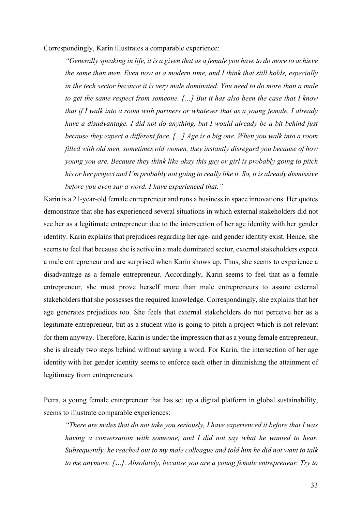Correspondingly, Karin illustrates a comparable experience:

*"Generally speaking in life, it is a given that as a female you have to do more to achieve the same than men. Even now at a modern time, and I think that still holds, especially in the tech sector because it is very male dominated. You need to do more than a male to get the same respect from someone. […] But it has also been the case that I know that if I walk into a room with partners or whatever that as a young female, I already have a disadvantage. I did not do anything, but I would already be a bit behind just because they expect a different face. […] Age is a big one. When you walk into a room filled with old men, sometimes old women, they instantly disregard you because of how young you are. Because they think like okay this guy or girl is probably going to pitch his or her project and I'm probably not going to really like it. So, it is already dismissive before you even say a word. I have experienced that."*

Karin is a 21-year-old female entrepreneur and runs a business in space innovations. Her quotes demonstrate that she has experienced several situations in which external stakeholders did not see her as a legitimate entrepreneur due to the intersection of her age identity with her gender identity. Karin explains that prejudices regarding her age- and gender identity exist. Hence, she seems to feel that because she is active in a male dominated sector, external stakeholders expect a male entrepreneur and are surprised when Karin shows up. Thus, she seems to experience a disadvantage as a female entrepreneur. Accordingly, Karin seems to feel that as a female entrepreneur, she must prove herself more than male entrepreneurs to assure external stakeholders that she possesses the required knowledge. Correspondingly, she explains that her age generates prejudices too. She feels that external stakeholders do not perceive her as a legitimate entrepreneur, but as a student who is going to pitch a project which is not relevant for them anyway. Therefore, Karin is under the impression that as a young female entrepreneur, she is already two steps behind without saying a word. For Karin, the intersection of her age identity with her gender identity seems to enforce each other in diminishing the attainment of legitimacy from entrepreneurs.

Petra, a young female entrepreneur that has set up a digital platform in global sustainability, seems to illustrate comparable experiences:

*"There are males that do not take you seriously, I have experienced it before that I was having a conversation with someone, and I did not say what he wanted to hear. Subsequently, he reached out to my male colleague and told him he did not want to talk to me anymore. […]. Absolutely, because you are a young female entrepreneur. Try to*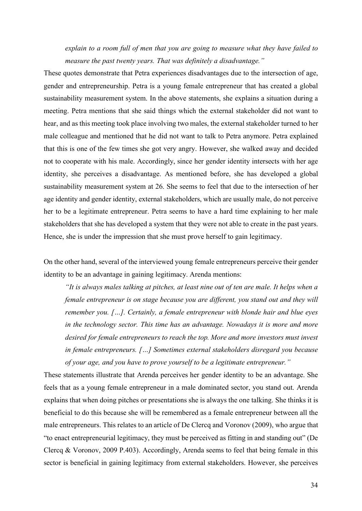*explain to a room full of men that you are going to measure what they have failed to measure the past twenty years. That was definitely a disadvantage."*

These quotes demonstrate that Petra experiences disadvantages due to the intersection of age, gender and entrepreneurship. Petra is a young female entrepreneur that has created a global sustainability measurement system. In the above statements, she explains a situation during a meeting. Petra mentions that she said things which the external stakeholder did not want to hear, and as this meeting took place involving two males, the external stakeholder turned to her male colleague and mentioned that he did not want to talk to Petra anymore. Petra explained that this is one of the few times she got very angry. However, she walked away and decided not to cooperate with his male. Accordingly, since her gender identity intersects with her age identity, she perceives a disadvantage. As mentioned before, she has developed a global sustainability measurement system at 26. She seems to feel that due to the intersection of her age identity and gender identity, external stakeholders, which are usually male, do not perceive her to be a legitimate entrepreneur. Petra seems to have a hard time explaining to her male stakeholders that she has developed a system that they were not able to create in the past years. Hence, she is under the impression that she must prove herself to gain legitimacy.

On the other hand, several of the interviewed young female entrepreneurs perceive their gender identity to be an advantage in gaining legitimacy. Arenda mentions:

*"It is always males talking at pitches, at least nine out of ten are male. It helps when a female entrepreneur is on stage because you are different, you stand out and they will remember you. […]. Certainly, a female entrepreneur with blonde hair and blue eyes*  in the technology sector. This time has an advantage. Nowadays it is more and more desired for female entrepreneurs to reach the top. More and more investors must invest *in female entrepreneurs. […] Sometimes external stakeholders disregard you because of your age, and you have to prove yourself to be a legitimate entrepreneur."*

These statements illustrate that Arenda perceives her gender identity to be an advantage. She feels that as a young female entrepreneur in a male dominated sector, you stand out. Arenda explains that when doing pitches or presentations she is always the one talking. She thinks it is beneficial to do this because she will be remembered as a female entrepreneur between all the male entrepreneurs. This relates to an article of De Clercq and Voronov (2009), who argue that "to enact entrepreneurial legitimacy, they must be perceived as fitting in and standing out" (De Clercq & Voronov, 2009 P.403). Accordingly, Arenda seems to feel that being female in this sector is beneficial in gaining legitimacy from external stakeholders. However, she perceives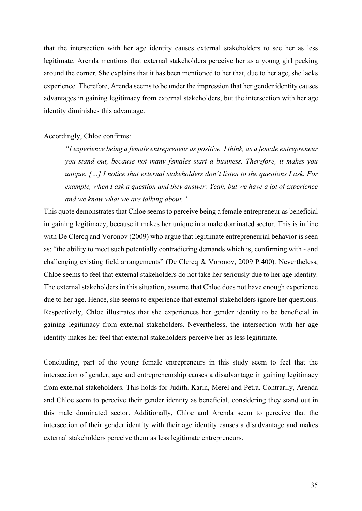that the intersection with her age identity causes external stakeholders to see her as less legitimate. Arenda mentions that external stakeholders perceive her as a young girl peeking around the corner. She explains that it has been mentioned to her that, due to her age, she lacks experience. Therefore, Arenda seems to be under the impression that her gender identity causes advantages in gaining legitimacy from external stakeholders, but the intersection with her age identity diminishes this advantage.

# Accordingly, Chloe confirms:

*"I experience being a female entrepreneur as positive. I think, as a female entrepreneur you stand out, because not many females start a business. Therefore, it makes you unique. […] I notice that external stakeholders don't listen to the questions I ask. For example, when I ask a question and they answer: Yeah, but we have a lot of experience and we know what we are talking about."*

This quote demonstrates that Chloe seems to perceive being a female entrepreneur as beneficial in gaining legitimacy, because it makes her unique in a male dominated sector. This is in line with De Clercq and Voronov (2009) who argue that legitimate entrepreneurial behavior is seen as: "the ability to meet such potentially contradicting demands which is, confirming with - and challenging existing field arrangements" (De Clercq & Voronov, 2009 P.400). Nevertheless, Chloe seems to feel that external stakeholders do not take her seriously due to her age identity. The external stakeholders in this situation, assume that Chloe does not have enough experience due to her age. Hence, she seems to experience that external stakeholders ignore her questions. Respectively, Chloe illustrates that she experiences her gender identity to be beneficial in gaining legitimacy from external stakeholders. Nevertheless, the intersection with her age identity makes her feel that external stakeholders perceive her as less legitimate.

Concluding, part of the young female entrepreneurs in this study seem to feel that the intersection of gender, age and entrepreneurship causes a disadvantage in gaining legitimacy from external stakeholders. This holds for Judith, Karin, Merel and Petra. Contrarily, Arenda and Chloe seem to perceive their gender identity as beneficial, considering they stand out in this male dominated sector. Additionally, Chloe and Arenda seem to perceive that the intersection of their gender identity with their age identity causes a disadvantage and makes external stakeholders perceive them as less legitimate entrepreneurs.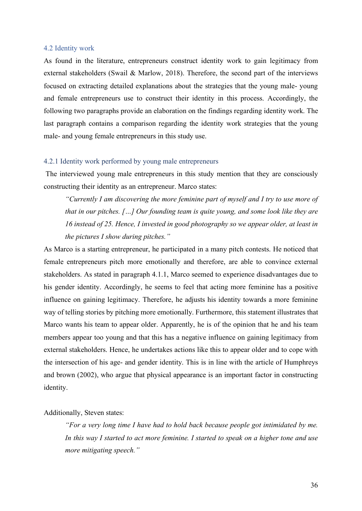## <span id="page-36-0"></span>4.2 Identity work

As found in the literature, entrepreneurs construct identity work to gain legitimacy from external stakeholders (Swail & Marlow, 2018). Therefore, the second part of the interviews focused on extracting detailed explanations about the strategies that the young male- young and female entrepreneurs use to construct their identity in this process. Accordingly, the following two paragraphs provide an elaboration on the findings regarding identity work. The last paragraph contains a comparison regarding the identity work strategies that the young male- and young female entrepreneurs in this study use.

# <span id="page-36-1"></span>4.2.1 Identity work performed by young male entrepreneurs

The interviewed young male entrepreneurs in this study mention that they are consciously constructing their identity as an entrepreneur. Marco states:

*"Currently I am discovering the more feminine part of myself and I try to use more of that in our pitches. […] Our founding team is quite young, and some look like they are 16 instead of 25. Hence, I invested in good photography so we appear older, at least in the pictures I show during pitches."*

As Marco is a starting entrepreneur, he participated in a many pitch contests. He noticed that female entrepreneurs pitch more emotionally and therefore, are able to convince external stakeholders. As stated in paragraph 4.1.1, Marco seemed to experience disadvantages due to his gender identity. Accordingly, he seems to feel that acting more feminine has a positive influence on gaining legitimacy. Therefore, he adjusts his identity towards a more feminine way of telling stories by pitching more emotionally. Furthermore, this statement illustrates that Marco wants his team to appear older. Apparently, he is of the opinion that he and his team members appear too young and that this has a negative influence on gaining legitimacy from external stakeholders. Hence, he undertakes actions like this to appear older and to cope with the intersection of his age- and gender identity. This is in line with the article of Humphreys and brown (2002), who argue that physical appearance is an important factor in constructing identity.

# Additionally, Steven states:

*"For a very long time I have had to hold back because people got intimidated by me. In this way I started to act more feminine. I started to speak on a higher tone and use more mitigating speech."*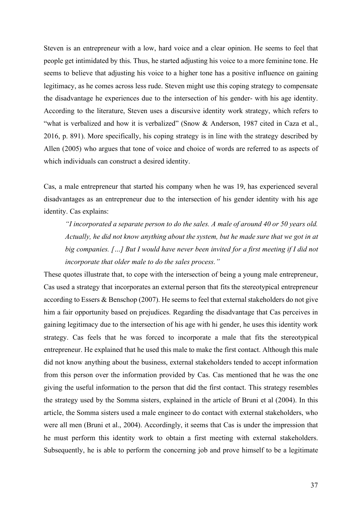Steven is an entrepreneur with a low, hard voice and a clear opinion. He seems to feel that people get intimidated by this. Thus, he started adjusting his voice to a more feminine tone. He seems to believe that adjusting his voice to a higher tone has a positive influence on gaining legitimacy, as he comes across less rude. Steven might use this coping strategy to compensate the disadvantage he experiences due to the intersection of his gender- with his age identity. According to the literature, Steven uses a discursive identity work strategy, which refers to "what is verbalized and how it is verbalized" (Snow & Anderson, 1987 cited in Caza et al., 2016, p. 891). More specifically, his coping strategy is in line with the strategy described by Allen (2005) who argues that tone of voice and choice of words are referred to as aspects of which individuals can construct a desired identity.

Cas, a male entrepreneur that started his company when he was 19, has experienced several disadvantages as an entrepreneur due to the intersection of his gender identity with his age identity. Cas explains:

*"I incorporated a separate person to do the sales. A male of around 40 or 50 years old. Actually, he did not know anything about the system, but he made sure that we got in at big companies. […] But I would have never been invited for a first meeting if I did not incorporate that older male to do the sales process."*

These quotes illustrate that, to cope with the intersection of being a young male entrepreneur, Cas used a strategy that incorporates an external person that fits the stereotypical entrepreneur according to Essers & Benschop (2007). He seems to feel that external stakeholders do not give him a fair opportunity based on prejudices. Regarding the disadvantage that Cas perceives in gaining legitimacy due to the intersection of his age with hi gender, he uses this identity work strategy. Cas feels that he was forced to incorporate a male that fits the stereotypical entrepreneur. He explained that he used this male to make the first contact. Although this male did not know anything about the business, external stakeholders tended to accept information from this person over the information provided by Cas. Cas mentioned that he was the one giving the useful information to the person that did the first contact. This strategy resembles the strategy used by the Somma sisters, explained in the article of Bruni et al (2004). In this article, the Somma sisters used a male engineer to do contact with external stakeholders, who were all men (Bruni et al., 2004). Accordingly, it seems that Cas is under the impression that he must perform this identity work to obtain a first meeting with external stakeholders. Subsequently, he is able to perform the concerning job and prove himself to be a legitimate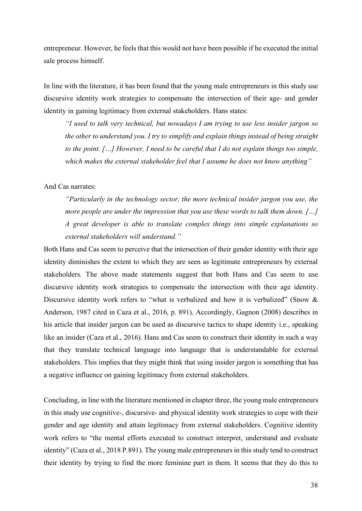entrepreneur. However, he feels that this would not have been possible if he executed the initial sale process himself.

In line with the literature, it has been found that the young male entrepreneurs in this study use discursive identity work strategies to compensate the intersection of their age- and gender identity in gaining legitimacy from external stakeholders. Hans states:

*"I used to talk very technical, but nowadays I am trying to use less insider jargon so the other to understand you. I try to simplify and explain things instead of being straight to the point. […] However, I need to be careful that I do not explain things too simple, which makes the external stakeholder feel that I assume he does not know anything"*

# And Cas narrates:

*"Particularly in the technology sector, the more technical insider jargon you use, the more people are under the impression that you use these words to talk them down. […] A great developer is able to translate complex things into simple explanations so external stakeholders will understand."*

Both Hans and Cas seem to perceive that the intersection of their gender identity with their age identity diminishes the extent to which they are seen as legitimate entrepreneurs by external stakeholders. The above made statements suggest that both Hans and Cas seem to use discursive identity work strategies to compensate the intersection with their age identity. Discursive identity work refers to "what is verbalized and how it is verbalized" (Snow & Anderson, 1987 cited in Caza et al., 2016, p. 891). Accordingly, Gagnon (2008) describes in his article that insider jargon can be used as discursive tactics to shape identity i.e., speaking like an insider (Caza et al., 2016). Hans and Cas seem to construct their identity in such a way that they translate technical language into language that is understandable for external stakeholders. This implies that they might think that using insider jargon is something that has a negative influence on gaining legitimacy from external stakeholders.

Concluding, in line with the literature mentioned in chapter three, the young male entrepreneurs in this study use cognitive-, discursive- and physical identity work strategies to cope with their gender and age identity and attain legitimacy from external stakeholders. Cognitive identity work refers to "the mental efforts executed to construct interpret, understand and evaluate identity" (Caza et al., 2018 P.891). The young male entrepreneurs in this study tend to construct their identity by trying to find the more feminine part in them. It seems that they do this to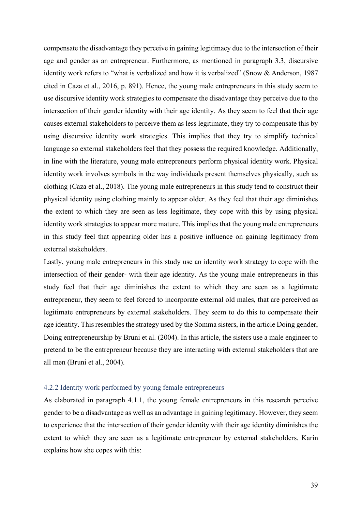compensate the disadvantage they perceive in gaining legitimacy due to the intersection of their age and gender as an entrepreneur. Furthermore, as mentioned in paragraph 3.3, discursive identity work refers to "what is verbalized and how it is verbalized" (Snow & Anderson, 1987 cited in Caza et al., 2016, p. 891). Hence, the young male entrepreneurs in this study seem to use discursive identity work strategies to compensate the disadvantage they perceive due to the intersection of their gender identity with their age identity. As they seem to feel that their age causes external stakeholders to perceive them as less legitimate, they try to compensate this by using discursive identity work strategies. This implies that they try to simplify technical language so external stakeholders feel that they possess the required knowledge. Additionally, in line with the literature, young male entrepreneurs perform physical identity work. Physical identity work involves symbols in the way individuals present themselves physically, such as clothing (Caza et al., 2018). The young male entrepreneurs in this study tend to construct their physical identity using clothing mainly to appear older. As they feel that their age diminishes the extent to which they are seen as less legitimate, they cope with this by using physical identity work strategies to appear more mature. This implies that the young male entrepreneurs in this study feel that appearing older has a positive influence on gaining legitimacy from external stakeholders.

Lastly, young male entrepreneurs in this study use an identity work strategy to cope with the intersection of their gender- with their age identity. As the young male entrepreneurs in this study feel that their age diminishes the extent to which they are seen as a legitimate entrepreneur, they seem to feel forced to incorporate external old males, that are perceived as legitimate entrepreneurs by external stakeholders. They seem to do this to compensate their age identity. This resembles the strategy used by the Somma sisters, in the article Doing gender, Doing entrepreneurship by Bruni et al. (2004). In this article, the sisters use a male engineer to pretend to be the entrepreneur because they are interacting with external stakeholders that are all men (Bruni et al., 2004).

# <span id="page-39-0"></span>4.2.2 Identity work performed by young female entrepreneurs

As elaborated in paragraph 4.1.1, the young female entrepreneurs in this research perceive gender to be a disadvantage as well as an advantage in gaining legitimacy. However, they seem to experience that the intersection of their gender identity with their age identity diminishes the extent to which they are seen as a legitimate entrepreneur by external stakeholders. Karin explains how she copes with this: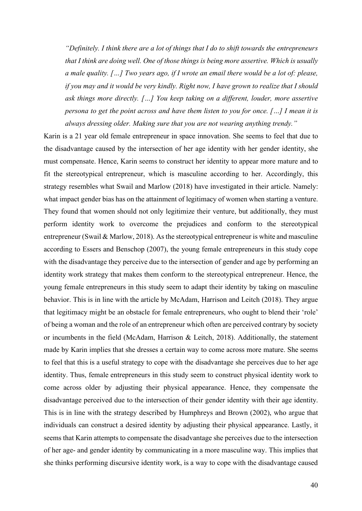*"Definitely. I think there are a lot of things that I do to shift towards the entrepreneurs that I think are doing well. One of those things is being more assertive. Which is usually a male quality. […] Two years ago, if I wrote an email there would be a lot of: please, if you may and it would be very kindly. Right now, I have grown to realize that I should ask things more directly. […] You keep taking on a different, louder, more assertive persona to get the point across and have them listen to you for once. […] I mean it is always dressing older. Making sure that you are not wearing anything trendy."*

Karin is a 21 year old female entrepreneur in space innovation. She seems to feel that due to the disadvantage caused by the intersection of her age identity with her gender identity, she must compensate. Hence, Karin seems to construct her identity to appear more mature and to fit the stereotypical entrepreneur, which is masculine according to her. Accordingly, this strategy resembles what Swail and Marlow (2018) have investigated in their article. Namely: what impact gender bias has on the attainment of legitimacy of women when starting a venture. They found that women should not only legitimize their venture, but additionally, they must perform identity work to overcome the prejudices and conform to the stereotypical entrepreneur (Swail & Marlow, 2018). As the stereotypical entrepreneur is white and masculine according to Essers and Benschop (2007), the young female entrepreneurs in this study cope with the disadvantage they perceive due to the intersection of gender and age by performing an identity work strategy that makes them conform to the stereotypical entrepreneur. Hence, the young female entrepreneurs in this study seem to adapt their identity by taking on masculine behavior. This is in line with the article by McAdam, Harrison and Leitch (2018). They argue that legitimacy might be an obstacle for female entrepreneurs, who ought to blend their 'role' of being a woman and the role of an entrepreneur which often are perceived contrary by society or incumbents in the field (McAdam, Harrison & Leitch, 2018). Additionally, the statement made by Karin implies that she dresses a certain way to come across more mature. She seems to feel that this is a useful strategy to cope with the disadvantage she perceives due to her age identity. Thus, female entrepreneurs in this study seem to construct physical identity work to come across older by adjusting their physical appearance. Hence, they compensate the disadvantage perceived due to the intersection of their gender identity with their age identity. This is in line with the strategy described by Humphreys and Brown (2002), who argue that individuals can construct a desired identity by adjusting their physical appearance. Lastly, it seems that Karin attempts to compensate the disadvantage she perceives due to the intersection of her age- and gender identity by communicating in a more masculine way. This implies that she thinks performing discursive identity work, is a way to cope with the disadvantage caused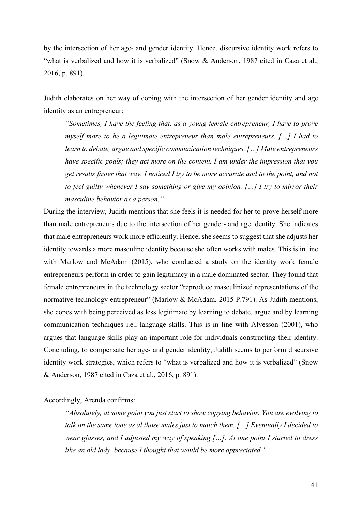by the intersection of her age- and gender identity. Hence, discursive identity work refers to "what is verbalized and how it is verbalized" (Snow & Anderson, 1987 cited in Caza et al., 2016, p. 891).

Judith elaborates on her way of coping with the intersection of her gender identity and age identity as an entrepreneur:

*"Sometimes, I have the feeling that, as a young female entrepreneur, I have to prove myself more to be a legitimate entrepreneur than male entrepreneurs. […] I had to learn to debate, argue and specific communication techniques. […] Male entrepreneurs have specific goals; they act more on the content. I am under the impression that you get results faster that way. I noticed I try to be more accurate and to the point, and not to feel guilty whenever I say something or give my opinion. […] I try to mirror their masculine behavior as a person."*

During the interview, Judith mentions that she feels it is needed for her to prove herself more than male entrepreneurs due to the intersection of her gender- and age identity. She indicates that male entrepreneurs work more efficiently. Hence, she seems to suggest that she adjusts her identity towards a more masculine identity because she often works with males. This is in line with Marlow and McAdam (2015), who conducted a study on the identity work female entrepreneurs perform in order to gain legitimacy in a male dominated sector. They found that female entrepreneurs in the technology sector "reproduce masculinized representations of the normative technology entrepreneur" (Marlow & McAdam, 2015 P.791). As Judith mentions, she copes with being perceived as less legitimate by learning to debate, argue and by learning communication techniques i.e., language skills. This is in line with Alvesson (2001), who argues that language skills play an important role for individuals constructing their identity. Concluding, to compensate her age- and gender identity, Judith seems to perform discursive identity work strategies, which refers to "what is verbalized and how it is verbalized" (Snow & Anderson, 1987 cited in Caza et al., 2016, p. 891).

Accordingly, Arenda confirms:

*"Absolutely, at some point you just start to show copying behavior. You are evolving to talk on the same tone as al those males just to match them. […] Eventually I decided to wear glasses, and I adjusted my way of speaking […]. At one point I started to dress like an old lady, because I thought that would be more appreciated."*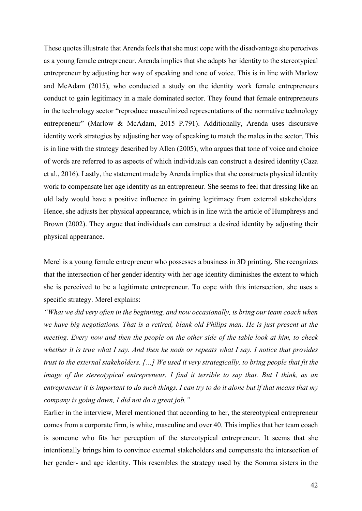These quotes illustrate that Arenda feels that she must cope with the disadvantage she perceives as a young female entrepreneur. Arenda implies that she adapts her identity to the stereotypical entrepreneur by adjusting her way of speaking and tone of voice. This is in line with Marlow and McAdam (2015), who conducted a study on the identity work female entrepreneurs conduct to gain legitimacy in a male dominated sector. They found that female entrepreneurs in the technology sector "reproduce masculinized representations of the normative technology entrepreneur" (Marlow & McAdam, 2015 P.791). Additionally, Arenda uses discursive identity work strategies by adjusting her way of speaking to match the males in the sector. This is in line with the strategy described by Allen (2005), who argues that tone of voice and choice of words are referred to as aspects of which individuals can construct a desired identity (Caza et al., 2016). Lastly, the statement made by Arenda implies that she constructs physical identity work to compensate her age identity as an entrepreneur. She seems to feel that dressing like an old lady would have a positive influence in gaining legitimacy from external stakeholders. Hence, she adjusts her physical appearance, which is in line with the article of Humphreys and Brown (2002). They argue that individuals can construct a desired identity by adjusting their physical appearance.

Merel is a young female entrepreneur who possesses a business in 3D printing. She recognizes that the intersection of her gender identity with her age identity diminishes the extent to which she is perceived to be a legitimate entrepreneur. To cope with this intersection, she uses a specific strategy. Merel explains:

*"What we did very often in the beginning, and now occasionally, is bring our team coach when we have big negotiations. That is a retired, blank old Philips man. He is just present at the meeting. Every now and then the people on the other side of the table look at him, to check whether it is true what I say. And then he nods or repeats what I say. I notice that provides trust to the external stakeholders. […] We used it very strategically, to bring people that fit the image of the stereotypical entrepreneur. I find it terrible to say that. But I think, as an entrepreneur it is important to do such things. I can try to do it alone but if that means that my company is going down, I did not do a great job."*

Earlier in the interview, Merel mentioned that according to her, the stereotypical entrepreneur comes from a corporate firm, is white, masculine and over 40. This implies that her team coach is someone who fits her perception of the stereotypical entrepreneur. It seems that she intentionally brings him to convince external stakeholders and compensate the intersection of her gender- and age identity. This resembles the strategy used by the Somma sisters in the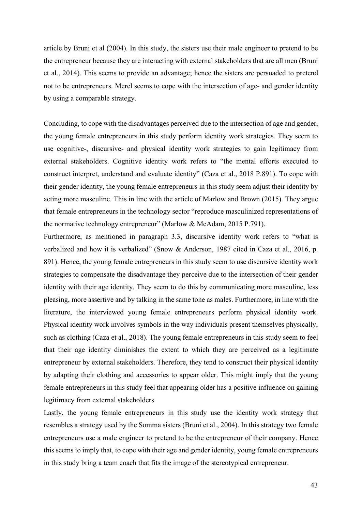article by Bruni et al (2004). In this study, the sisters use their male engineer to pretend to be the entrepreneur because they are interacting with external stakeholders that are all men (Bruni et al., 2014). This seems to provide an advantage; hence the sisters are persuaded to pretend not to be entrepreneurs. Merel seems to cope with the intersection of age- and gender identity by using a comparable strategy.

Concluding, to cope with the disadvantages perceived due to the intersection of age and gender, the young female entrepreneurs in this study perform identity work strategies. They seem to use cognitive-, discursive- and physical identity work strategies to gain legitimacy from external stakeholders. Cognitive identity work refers to "the mental efforts executed to construct interpret, understand and evaluate identity" (Caza et al., 2018 P.891). To cope with their gender identity, the young female entrepreneurs in this study seem adjust their identity by acting more masculine. This in line with the article of Marlow and Brown (2015). They argue that female entrepreneurs in the technology sector "reproduce masculinized representations of the normative technology entrepreneur" (Marlow & McAdam, 2015 P.791).

Furthermore, as mentioned in paragraph 3.3, discursive identity work refers to "what is verbalized and how it is verbalized" (Snow & Anderson, 1987 cited in Caza et al., 2016, p. 891). Hence, the young female entrepreneurs in this study seem to use discursive identity work strategies to compensate the disadvantage they perceive due to the intersection of their gender identity with their age identity. They seem to do this by communicating more masculine, less pleasing, more assertive and by talking in the same tone as males. Furthermore, in line with the literature, the interviewed young female entrepreneurs perform physical identity work. Physical identity work involves symbols in the way individuals present themselves physically, such as clothing (Caza et al., 2018). The young female entrepreneurs in this study seem to feel that their age identity diminishes the extent to which they are perceived as a legitimate entrepreneur by external stakeholders. Therefore, they tend to construct their physical identity by adapting their clothing and accessories to appear older. This might imply that the young female entrepreneurs in this study feel that appearing older has a positive influence on gaining legitimacy from external stakeholders.

Lastly, the young female entrepreneurs in this study use the identity work strategy that resembles a strategy used by the Somma sisters (Bruni et al., 2004). In this strategy two female entrepreneurs use a male engineer to pretend to be the entrepreneur of their company. Hence this seems to imply that, to cope with their age and gender identity, young female entrepreneurs in this study bring a team coach that fits the image of the stereotypical entrepreneur.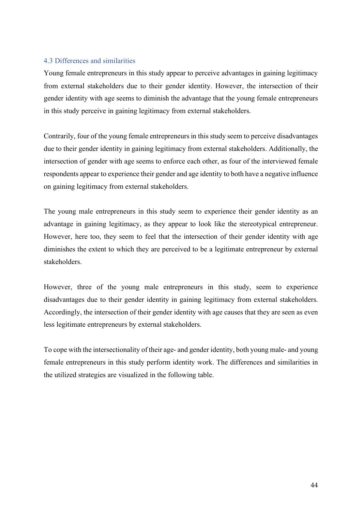# <span id="page-44-0"></span>4.3 Differences and similarities

Young female entrepreneurs in this study appear to perceive advantages in gaining legitimacy from external stakeholders due to their gender identity. However, the intersection of their gender identity with age seems to diminish the advantage that the young female entrepreneurs in this study perceive in gaining legitimacy from external stakeholders.

Contrarily, four of the young female entrepreneurs in this study seem to perceive disadvantages due to their gender identity in gaining legitimacy from external stakeholders. Additionally, the intersection of gender with age seems to enforce each other, as four of the interviewed female respondents appear to experience their gender and age identity to both have a negative influence on gaining legitimacy from external stakeholders.

The young male entrepreneurs in this study seem to experience their gender identity as an advantage in gaining legitimacy, as they appear to look like the stereotypical entrepreneur. However, here too, they seem to feel that the intersection of their gender identity with age diminishes the extent to which they are perceived to be a legitimate entrepreneur by external stakeholders.

However, three of the young male entrepreneurs in this study, seem to experience disadvantages due to their gender identity in gaining legitimacy from external stakeholders. Accordingly, the intersection of their gender identity with age causes that they are seen as even less legitimate entrepreneurs by external stakeholders.

To cope with the intersectionality of their age- and gender identity, both young male- and young female entrepreneurs in this study perform identity work. The differences and similarities in the utilized strategies are visualized in the following table.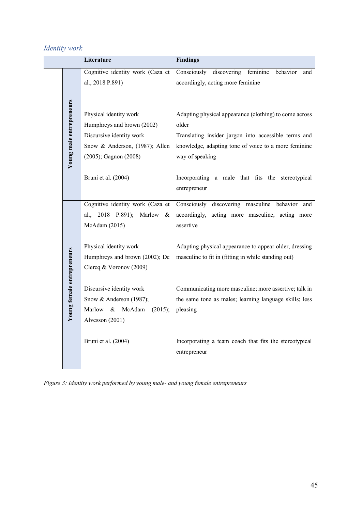# *Identity work*

I

|  |                            | Literature                          | <b>Findings</b>                                           |
|--|----------------------------|-------------------------------------|-----------------------------------------------------------|
|  |                            | Cognitive identity work (Caza et    | discovering<br>Consciously<br>feminine<br>behavior<br>and |
|  |                            | al., 2018 P.891)                    | accordingly, acting more feminine                         |
|  |                            |                                     |                                                           |
|  | Young male entrepreneurs   | Physical identity work              | Adapting physical appearance (clothing) to come across    |
|  |                            | Humphreys and brown (2002)          | older                                                     |
|  |                            | Discursive identity work            | Translating insider jargon into accessible terms and      |
|  |                            | Snow & Anderson, (1987); Allen      | knowledge, adapting tone of voice to a more feminine      |
|  |                            | (2005); Gagnon (2008)               | way of speaking                                           |
|  |                            | Bruni et al. (2004)                 | Incorporating a male that fits the stereotypical          |
|  |                            |                                     | entrepreneur                                              |
|  |                            | Cognitive identity work (Caza et    | Consciously discovering masculine behavior and            |
|  |                            | 2018 P.891); Marlow<br>al.,<br>&    | accordingly, acting more masculine, acting more           |
|  |                            | McAdam (2015)                       | assertive                                                 |
|  |                            | Physical identity work              | Adapting physical appearance to appear older, dressing    |
|  |                            | Humphreys and brown (2002); De      | masculine to fit in (fitting in while standing out)       |
|  |                            | Clercq & Voronov (2009)             |                                                           |
|  |                            |                                     |                                                           |
|  |                            | Discursive identity work            | Communicating more masculine; more assertive; talk in     |
|  | Young female entrepreneurs | Snow & Anderson (1987);             | the same tone as males; learning language skills; less    |
|  |                            | Marlow<br>McAdam<br>$\&$<br>(2015); | pleasing                                                  |
|  |                            | Alvesson (2001)                     |                                                           |
|  |                            | Bruni et al. (2004)                 | Incorporating a team coach that fits the stereotypical    |
|  |                            |                                     | entrepreneur                                              |
|  |                            |                                     |                                                           |

*Figure 3: Identity work performed by young male- and young female entrepreneurs*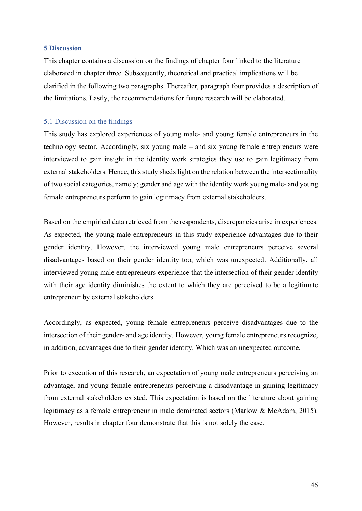# <span id="page-46-0"></span>**5 Discussion**

This chapter contains a discussion on the findings of chapter four linked to the literature elaborated in chapter three. Subsequently, theoretical and practical implications will be clarified in the following two paragraphs. Thereafter, paragraph four provides a description of the limitations. Lastly, the recommendations for future research will be elaborated.

# <span id="page-46-1"></span>5.1 Discussion on the findings

This study has explored experiences of young male- and young female entrepreneurs in the technology sector. Accordingly, six young male – and six young female entrepreneurs were interviewed to gain insight in the identity work strategies they use to gain legitimacy from external stakeholders. Hence, this study sheds light on the relation between the intersectionality of two social categories, namely; gender and age with the identity work young male- and young female entrepreneurs perform to gain legitimacy from external stakeholders.

Based on the empirical data retrieved from the respondents, discrepancies arise in experiences. As expected, the young male entrepreneurs in this study experience advantages due to their gender identity. However, the interviewed young male entrepreneurs perceive several disadvantages based on their gender identity too, which was unexpected. Additionally, all interviewed young male entrepreneurs experience that the intersection of their gender identity with their age identity diminishes the extent to which they are perceived to be a legitimate entrepreneur by external stakeholders.

Accordingly, as expected, young female entrepreneurs perceive disadvantages due to the intersection of their gender- and age identity. However, young female entrepreneurs recognize, in addition, advantages due to their gender identity. Which was an unexpected outcome.

Prior to execution of this research, an expectation of young male entrepreneurs perceiving an advantage, and young female entrepreneurs perceiving a disadvantage in gaining legitimacy from external stakeholders existed. This expectation is based on the literature about gaining legitimacy as a female entrepreneur in male dominated sectors (Marlow & McAdam, 2015). However, results in chapter four demonstrate that this is not solely the case.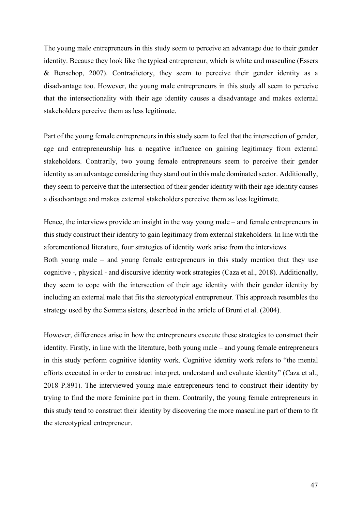The young male entrepreneurs in this study seem to perceive an advantage due to their gender identity. Because they look like the typical entrepreneur, which is white and masculine (Essers & Benschop, 2007). Contradictory, they seem to perceive their gender identity as a disadvantage too. However, the young male entrepreneurs in this study all seem to perceive that the intersectionality with their age identity causes a disadvantage and makes external stakeholders perceive them as less legitimate.

Part of the young female entrepreneurs in this study seem to feel that the intersection of gender, age and entrepreneurship has a negative influence on gaining legitimacy from external stakeholders. Contrarily, two young female entrepreneurs seem to perceive their gender identity as an advantage considering they stand out in this male dominated sector. Additionally, they seem to perceive that the intersection of their gender identity with their age identity causes a disadvantage and makes external stakeholders perceive them as less legitimate.

Hence, the interviews provide an insight in the way young male – and female entrepreneurs in this study construct their identity to gain legitimacy from external stakeholders. In line with the aforementioned literature, four strategies of identity work arise from the interviews.

Both young male – and young female entrepreneurs in this study mention that they use cognitive -, physical - and discursive identity work strategies (Caza et al., 2018). Additionally, they seem to cope with the intersection of their age identity with their gender identity by including an external male that fits the stereotypical entrepreneur. This approach resembles the strategy used by the Somma sisters, described in the article of Bruni et al. (2004).

However, differences arise in how the entrepreneurs execute these strategies to construct their identity. Firstly, in line with the literature, both young male – and young female entrepreneurs in this study perform cognitive identity work. Cognitive identity work refers to "the mental efforts executed in order to construct interpret, understand and evaluate identity" (Caza et al., 2018 P.891). The interviewed young male entrepreneurs tend to construct their identity by trying to find the more feminine part in them. Contrarily, the young female entrepreneurs in this study tend to construct their identity by discovering the more masculine part of them to fit the stereotypical entrepreneur.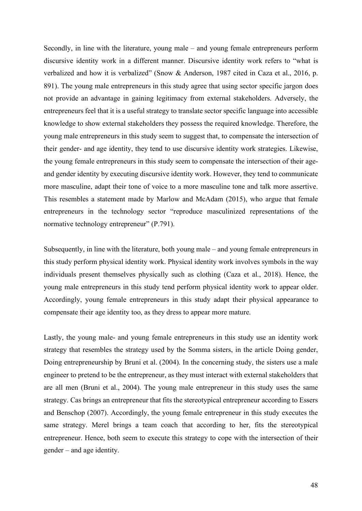Secondly, in line with the literature, young male – and young female entrepreneurs perform discursive identity work in a different manner. Discursive identity work refers to "what is verbalized and how it is verbalized" (Snow & Anderson, 1987 cited in Caza et al., 2016, p. 891). The young male entrepreneurs in this study agree that using sector specific jargon does not provide an advantage in gaining legitimacy from external stakeholders. Adversely, the entrepreneurs feel that it is a useful strategy to translate sector specific language into accessible knowledge to show external stakeholders they possess the required knowledge. Therefore, the young male entrepreneurs in this study seem to suggest that, to compensate the intersection of their gender- and age identity, they tend to use discursive identity work strategies. Likewise, the young female entrepreneurs in this study seem to compensate the intersection of their ageand gender identity by executing discursive identity work. However, they tend to communicate more masculine, adapt their tone of voice to a more masculine tone and talk more assertive. This resembles a statement made by Marlow and McAdam (2015), who argue that female entrepreneurs in the technology sector "reproduce masculinized representations of the normative technology entrepreneur" (P.791).

Subsequently, in line with the literature, both young male – and young female entrepreneurs in this study perform physical identity work. Physical identity work involves symbols in the way individuals present themselves physically such as clothing (Caza et al., 2018). Hence, the young male entrepreneurs in this study tend perform physical identity work to appear older. Accordingly, young female entrepreneurs in this study adapt their physical appearance to compensate their age identity too, as they dress to appear more mature.

Lastly, the young male- and young female entrepreneurs in this study use an identity work strategy that resembles the strategy used by the Somma sisters, in the article Doing gender, Doing entrepreneurship by Bruni et al. (2004). In the concerning study, the sisters use a male engineer to pretend to be the entrepreneur, as they must interact with external stakeholders that are all men (Bruni et al., 2004). The young male entrepreneur in this study uses the same strategy. Cas brings an entrepreneur that fits the stereotypical entrepreneur according to Essers and Benschop (2007). Accordingly, the young female entrepreneur in this study executes the same strategy. Merel brings a team coach that according to her, fits the stereotypical entrepreneur. Hence, both seem to execute this strategy to cope with the intersection of their gender – and age identity.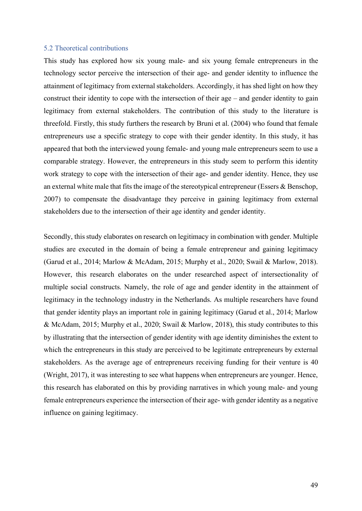## <span id="page-49-0"></span>5.2 Theoretical contributions

This study has explored how six young male- and six young female entrepreneurs in the technology sector perceive the intersection of their age- and gender identity to influence the attainment of legitimacy from external stakeholders. Accordingly, it has shed light on how they construct their identity to cope with the intersection of their age – and gender identity to gain legitimacy from external stakeholders. The contribution of this study to the literature is threefold. Firstly, this study furthers the research by Bruni et al. (2004) who found that female entrepreneurs use a specific strategy to cope with their gender identity. In this study, it has appeared that both the interviewed young female- and young male entrepreneurs seem to use a comparable strategy. However, the entrepreneurs in this study seem to perform this identity work strategy to cope with the intersection of their age- and gender identity. Hence, they use an external white male that fits the image of the stereotypical entrepreneur (Essers & Benschop, 2007) to compensate the disadvantage they perceive in gaining legitimacy from external stakeholders due to the intersection of their age identity and gender identity.

Secondly, this study elaborates on research on legitimacy in combination with gender. Multiple studies are executed in the domain of being a female entrepreneur and gaining legitimacy (Garud et al., 2014; Marlow & McAdam, 2015; Murphy et al., 2020; Swail & Marlow, 2018). However, this research elaborates on the under researched aspect of intersectionality of multiple social constructs. Namely, the role of age and gender identity in the attainment of legitimacy in the technology industry in the Netherlands. As multiple researchers have found that gender identity plays an important role in gaining legitimacy (Garud et al., 2014; Marlow & McAdam, 2015; Murphy et al., 2020; Swail & Marlow, 2018), this study contributes to this by illustrating that the intersection of gender identity with age identity diminishes the extent to which the entrepreneurs in this study are perceived to be legitimate entrepreneurs by external stakeholders. As the average age of entrepreneurs receiving funding for their venture is 40 (Wright, 2017), it was interesting to see what happens when entrepreneurs are younger. Hence, this research has elaborated on this by providing narratives in which young male- and young female entrepreneurs experience the intersection of their age- with gender identity as a negative influence on gaining legitimacy.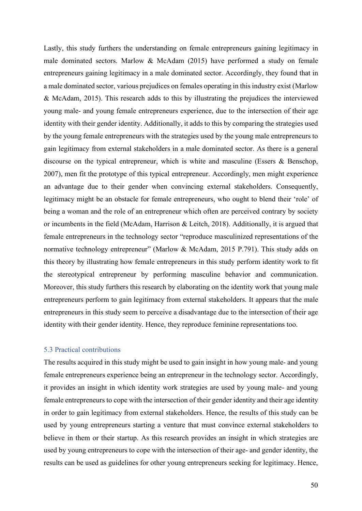Lastly, this study furthers the understanding on female entrepreneurs gaining legitimacy in male dominated sectors. Marlow & McAdam (2015) have performed a study on female entrepreneurs gaining legitimacy in a male dominated sector. Accordingly, they found that in a male dominated sector, various prejudices on females operating in this industry exist (Marlow & McAdam, 2015). This research adds to this by illustrating the prejudices the interviewed young male- and young female entrepreneurs experience, due to the intersection of their age identity with their gender identity. Additionally, it adds to this by comparing the strategies used by the young female entrepreneurs with the strategies used by the young male entrepreneurs to gain legitimacy from external stakeholders in a male dominated sector. As there is a general discourse on the typical entrepreneur, which is white and masculine (Essers & Benschop, 2007), men fit the prototype of this typical entrepreneur. Accordingly, men might experience an advantage due to their gender when convincing external stakeholders. Consequently, legitimacy might be an obstacle for female entrepreneurs, who ought to blend their 'role' of being a woman and the role of an entrepreneur which often are perceived contrary by society or incumbents in the field (McAdam, Harrison & Leitch, 2018). Additionally, it is argued that female entrepreneurs in the technology sector "reproduce masculinized representations of the normative technology entrepreneur" (Marlow & McAdam, 2015 P.791). This study adds on this theory by illustrating how female entrepreneurs in this study perform identity work to fit the stereotypical entrepreneur by performing masculine behavior and communication. Moreover, this study furthers this research by elaborating on the identity work that young male entrepreneurs perform to gain legitimacy from external stakeholders. It appears that the male entrepreneurs in this study seem to perceive a disadvantage due to the intersection of their age identity with their gender identity. Hence, they reproduce feminine representations too.

# <span id="page-50-0"></span>5.3 Practical contributions

The results acquired in this study might be used to gain insight in how young male- and young female entrepreneurs experience being an entrepreneur in the technology sector. Accordingly, it provides an insight in which identity work strategies are used by young male- and young female entrepreneurs to cope with the intersection of their gender identity and their age identity in order to gain legitimacy from external stakeholders. Hence, the results of this study can be used by young entrepreneurs starting a venture that must convince external stakeholders to believe in them or their startup. As this research provides an insight in which strategies are used by young entrepreneurs to cope with the intersection of their age- and gender identity, the results can be used as guidelines for other young entrepreneurs seeking for legitimacy. Hence,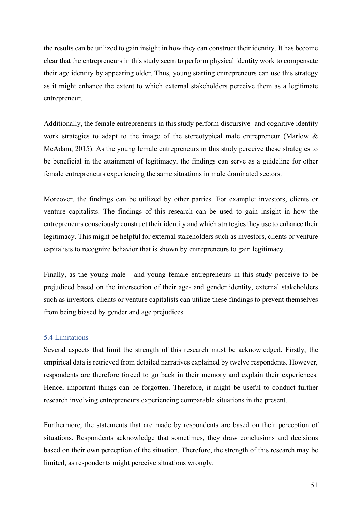the results can be utilized to gain insight in how they can construct their identity. It has become clear that the entrepreneurs in this study seem to perform physical identity work to compensate their age identity by appearing older. Thus, young starting entrepreneurs can use this strategy as it might enhance the extent to which external stakeholders perceive them as a legitimate entrepreneur.

Additionally, the female entrepreneurs in this study perform discursive- and cognitive identity work strategies to adapt to the image of the stereotypical male entrepreneur (Marlow & McAdam, 2015). As the young female entrepreneurs in this study perceive these strategies to be beneficial in the attainment of legitimacy, the findings can serve as a guideline for other female entrepreneurs experiencing the same situations in male dominated sectors.

Moreover, the findings can be utilized by other parties. For example: investors, clients or venture capitalists. The findings of this research can be used to gain insight in how the entrepreneurs consciously construct their identity and which strategies they use to enhance their legitimacy. This might be helpful for external stakeholders such as investors, clients or venture capitalists to recognize behavior that is shown by entrepreneurs to gain legitimacy.

Finally, as the young male - and young female entrepreneurs in this study perceive to be prejudiced based on the intersection of their age- and gender identity, external stakeholders such as investors, clients or venture capitalists can utilize these findings to prevent themselves from being biased by gender and age prejudices.

# <span id="page-51-0"></span>5.4 Limitations

Several aspects that limit the strength of this research must be acknowledged. Firstly, the empirical data is retrieved from detailed narratives explained by twelve respondents. However, respondents are therefore forced to go back in their memory and explain their experiences. Hence, important things can be forgotten. Therefore, it might be useful to conduct further research involving entrepreneurs experiencing comparable situations in the present.

Furthermore, the statements that are made by respondents are based on their perception of situations. Respondents acknowledge that sometimes, they draw conclusions and decisions based on their own perception of the situation. Therefore, the strength of this research may be limited, as respondents might perceive situations wrongly.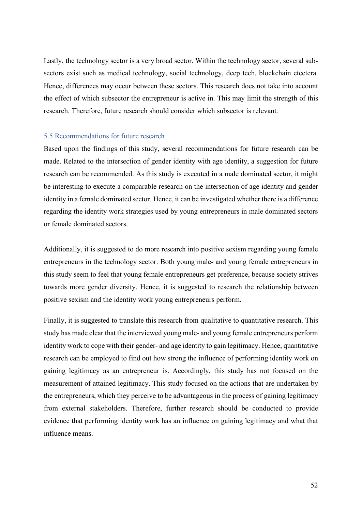Lastly, the technology sector is a very broad sector. Within the technology sector, several subsectors exist such as medical technology, social technology, deep tech, blockchain etcetera. Hence, differences may occur between these sectors. This research does not take into account the effect of which subsector the entrepreneur is active in. This may limit the strength of this research. Therefore, future research should consider which subsector is relevant.

# <span id="page-52-0"></span>5.5 Recommendations for future research

Based upon the findings of this study, several recommendations for future research can be made. Related to the intersection of gender identity with age identity, a suggestion for future research can be recommended. As this study is executed in a male dominated sector, it might be interesting to execute a comparable research on the intersection of age identity and gender identity in a female dominated sector. Hence, it can be investigated whether there is a difference regarding the identity work strategies used by young entrepreneurs in male dominated sectors or female dominated sectors.

Additionally, it is suggested to do more research into positive sexism regarding young female entrepreneurs in the technology sector. Both young male- and young female entrepreneurs in this study seem to feel that young female entrepreneurs get preference, because society strives towards more gender diversity. Hence, it is suggested to research the relationship between positive sexism and the identity work young entrepreneurs perform.

Finally, it is suggested to translate this research from qualitative to quantitative research. This study has made clear that the interviewed young male- and young female entrepreneurs perform identity work to cope with their gender- and age identity to gain legitimacy. Hence, quantitative research can be employed to find out how strong the influence of performing identity work on gaining legitimacy as an entrepreneur is. Accordingly, this study has not focused on the measurement of attained legitimacy. This study focused on the actions that are undertaken by the entrepreneurs, which they perceive to be advantageous in the process of gaining legitimacy from external stakeholders. Therefore, further research should be conducted to provide evidence that performing identity work has an influence on gaining legitimacy and what that influence means.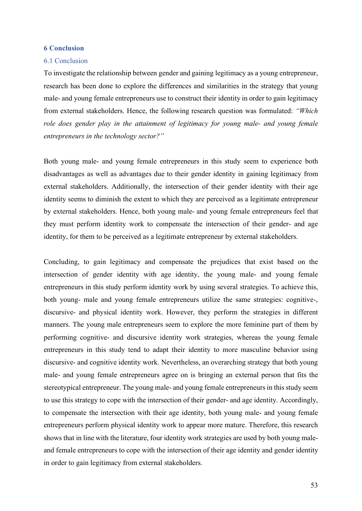# <span id="page-53-0"></span>**6 Conclusion**

#### <span id="page-53-1"></span>6.1 Conclusion

To investigate the relationship between gender and gaining legitimacy as a young entrepreneur, research has been done to explore the differences and similarities in the strategy that young male- and young female entrepreneurs use to construct their identity in order to gain legitimacy from external stakeholders. Hence, the following research question was formulated: *"Which role does gender play in the attainment of legitimacy for young male- and young female entrepreneurs in the technology sector?"*

Both young male- and young female entrepreneurs in this study seem to experience both disadvantages as well as advantages due to their gender identity in gaining legitimacy from external stakeholders. Additionally, the intersection of their gender identity with their age identity seems to diminish the extent to which they are perceived as a legitimate entrepreneur by external stakeholders. Hence, both young male- and young female entrepreneurs feel that they must perform identity work to compensate the intersection of their gender- and age identity, for them to be perceived as a legitimate entrepreneur by external stakeholders.

Concluding, to gain legitimacy and compensate the prejudices that exist based on the intersection of gender identity with age identity, the young male- and young female entrepreneurs in this study perform identity work by using several strategies. To achieve this, both young- male and young female entrepreneurs utilize the same strategies: cognitive-, discursive- and physical identity work. However, they perform the strategies in different manners. The young male entrepreneurs seem to explore the more feminine part of them by performing cognitive- and discursive identity work strategies, whereas the young female entrepreneurs in this study tend to adapt their identity to more masculine behavior using discursive- and cognitive identity work. Nevertheless, an overarching strategy that both young male- and young female entrepreneurs agree on is bringing an external person that fits the stereotypical entrepreneur. The young male- and young female entrepreneurs in this study seem to use this strategy to cope with the intersection of their gender- and age identity. Accordingly, to compensate the intersection with their age identity, both young male- and young female entrepreneurs perform physical identity work to appear more mature. Therefore, this research shows that in line with the literature, four identity work strategies are used by both young maleand female entrepreneurs to cope with the intersection of their age identity and gender identity in order to gain legitimacy from external stakeholders.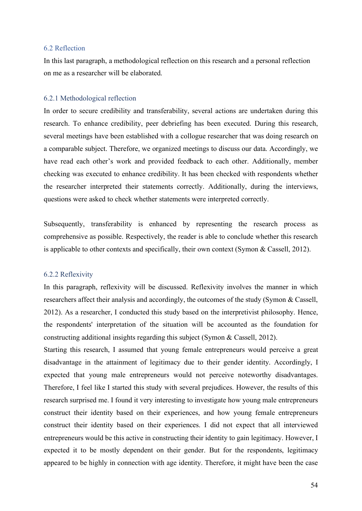# <span id="page-54-0"></span>6.2 Reflection

In this last paragraph, a methodological reflection on this research and a personal reflection on me as a researcher will be elaborated.

# <span id="page-54-1"></span>6.2.1 Methodological reflection

In order to secure credibility and transferability, several actions are undertaken during this research. To enhance credibility, peer debriefing has been executed. During this research, several meetings have been established with a collogue researcher that was doing research on a comparable subject. Therefore, we organized meetings to discuss our data. Accordingly, we have read each other's work and provided feedback to each other. Additionally, member checking was executed to enhance credibility. It has been checked with respondents whether the researcher interpreted their statements correctly. Additionally, during the interviews, questions were asked to check whether statements were interpreted correctly.

Subsequently, transferability is enhanced by representing the research process as comprehensive as possible. Respectively, the reader is able to conclude whether this research is applicable to other contexts and specifically, their own context (Symon & Cassell, 2012).

#### <span id="page-54-2"></span>6.2.2 Reflexivity

In this paragraph, reflexivity will be discussed. Reflexivity involves the manner in which researchers affect their analysis and accordingly, the outcomes of the study (Symon & Cassell, 2012). As a researcher, I conducted this study based on the interpretivist philosophy. Hence, the respondents' interpretation of the situation will be accounted as the foundation for constructing additional insights regarding this subject (Symon & Cassell, 2012).

Starting this research, I assumed that young female entrepreneurs would perceive a great disadvantage in the attainment of legitimacy due to their gender identity. Accordingly, I expected that young male entrepreneurs would not perceive noteworthy disadvantages. Therefore, I feel like I started this study with several prejudices. However, the results of this research surprised me. I found it very interesting to investigate how young male entrepreneurs construct their identity based on their experiences, and how young female entrepreneurs construct their identity based on their experiences. I did not expect that all interviewed entrepreneurs would be this active in constructing their identity to gain legitimacy. However, I expected it to be mostly dependent on their gender. But for the respondents, legitimacy appeared to be highly in connection with age identity. Therefore, it might have been the case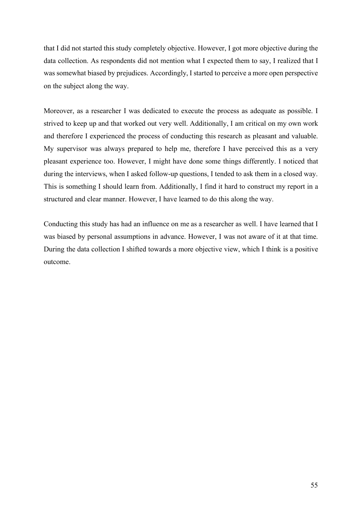that I did not started this study completely objective. However, I got more objective during the data collection. As respondents did not mention what I expected them to say, I realized that I was somewhat biased by prejudices. Accordingly, I started to perceive a more open perspective on the subject along the way.

Moreover, as a researcher I was dedicated to execute the process as adequate as possible. I strived to keep up and that worked out very well. Additionally, I am critical on my own work and therefore I experienced the process of conducting this research as pleasant and valuable. My supervisor was always prepared to help me, therefore I have perceived this as a very pleasant experience too. However, I might have done some things differently. I noticed that during the interviews, when I asked follow-up questions, I tended to ask them in a closed way. This is something I should learn from. Additionally, I find it hard to construct my report in a structured and clear manner. However, I have learned to do this along the way.

Conducting this study has had an influence on me as a researcher as well. I have learned that I was biased by personal assumptions in advance. However, I was not aware of it at that time. During the data collection I shifted towards a more objective view, which I think is a positive outcome.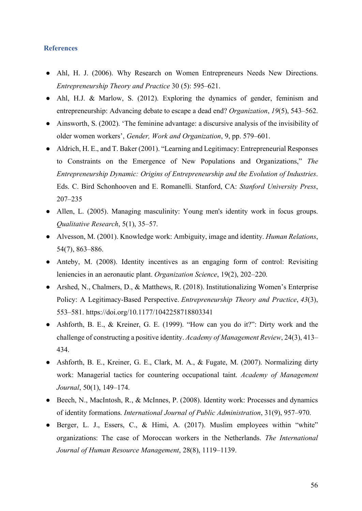# <span id="page-56-0"></span>**References**

- Ahl, H. J. (2006). Why Research on Women Entrepreneurs Needs New Directions. *Entrepreneurship Theory and Practice* 30 (5): 595–621.
- Ahl, H.J. & Marlow, S. (2012). Exploring the dynamics of gender, feminism and entrepreneurship: Advancing debate to escape a dead end? *Organization*, *19*(5), 543–562.
- Ainsworth, S. (2002). 'The feminine advantage: a discursive analysis of the invisibility of older women workers', *Gender, Work and Organization*, 9, pp. 579–601.
- Aldrich, H. E., and T. Baker (2001). "Learning and Legitimacy: Entrepreneurial Responses to Constraints on the Emergence of New Populations and Organizations," *The Entrepreneurship Dynamic: Origins of Entrepreneurship and the Evolution of Industries*. Eds. C. Bird Schonhooven and E. Romanelli. Stanford, CA: *Stanford University Press*, 207–235
- Allen, L. (2005). Managing masculinity: Young men's identity work in focus groups. *Qualitative Research*, 5(1), 35–57.
- Alvesson, M. (2001). Knowledge work: Ambiguity, image and identity. *Human Relations*, 54(7), 863–886.
- Anteby, M. (2008). Identity incentives as an engaging form of control: Revisiting leniencies in an aeronautic plant. *Organization Science*, 19(2), 202–220.
- Arshed, N., Chalmers, D., & Matthews, R. (2018). Institutionalizing Women's Enterprise Policy: A Legitimacy-Based Perspective. *Entrepreneurship Theory and Practice*, *43*(3), 553–581. https://doi.org/10.1177/1042258718803341
- Ashforth, B. E., & Kreiner, G. E. (1999). "How can you do it?": Dirty work and the challenge of constructing a positive identity. *Academy of Management Review*, 24(3), 413– 434.
- Ashforth, B. E., Kreiner, G. E., Clark, M. A., & Fugate, M. (2007). Normalizing dirty work: Managerial tactics for countering occupational taint. *Academy of Management Journal*, 50(1), 149–174.
- Beech, N., MacIntosh, R., & McInnes, P. (2008). Identity work: Processes and dynamics of identity formations. *International Journal of Public Administration*, 31(9), 957–970.
- Berger, L. J., Essers, C., & Himi, A. (2017). Muslim employees within "white" organizations: The case of Moroccan workers in the Netherlands. *The International Journal of Human Resource Management*, 28(8), 1119–1139.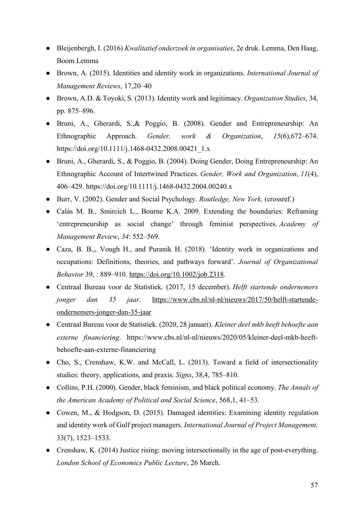- Bleijenbergh, I. (2016) *Kwalitatief onderzoek in organisaties*, 2e druk. Lemma, Den Haag, Boom Lemma
- Brown, A. (2015). Identities and identity work in organizations. *International Journal of Management Reviews*, 17,20–40
- Brown, A.D. & Toyoki, S. (2013). Identity work and legitimacy. *Organization Studies*, 34, pp. 875–896.
- Bruni, A., Gherardi, S.,& Poggio, B. (2008). Gender and Entrepreneurship: An Ethnographic Approach. *Gender, work & Organization*, *15*(6),672–674. https://doi.org/10.1111/j.1468-0432.2008.00421\_1.x
- Bruni, A., Gherardi, S., & Poggio, B. (2004). Doing Gender, Doing Entrepreneurship: An Ethnographic Account of Intertwined Practices. *Gender, Work and Organization*, *11*(4), 406–429. https://doi.org/10.1111/j.1468-0432.2004.00240.x
- Burr, V. (2002). Gender and Social Psychology. *Routledge, New York*. (crossref.)
- Calás M. B., Smircich L., Bourne K.A. 2009. Extending the boundaries: Reframing 'entrepreneurship as social change' through feminist perspectives. *Academy of Management Review*, *34*: 552–569.
- Caza, B. B.,, Vough H., and Puranik H. (2018). 'Identity work in organizations and occupations: Definitions, theories, and pathways forward'. *Journal of Organizational Behavior* 39, : 889–910. [https://doi.org/10.1002/job.2318.](https://doi.org/10.1002/job.2318)
- Centraal Bureau voor de Statistiek. (2017, 15 december). *Helft startende ondernemers jonger dan 35 jaar*. [https://www.cbs.nl/nl-nl/nieuws/2017/50/helft-startende](https://www.cbs.nl/nl-nl/nieuws/2017/50/helft-startende-ondernemers-jonger-dan-35-jaar)[ondernemers-jonger-dan-35-jaar](https://www.cbs.nl/nl-nl/nieuws/2017/50/helft-startende-ondernemers-jonger-dan-35-jaar)
- Centraal Bureau voor de Statistiek. (2020, 28 januari). *Kleiner deel mkb heeft behoefte aan externe financiering*. https://www.cbs.nl/nl-nl/nieuws/2020/05/kleiner-deel-mkb-heeftbehoefte-aan-externe-financiering
- Cho, S., Crenshaw, K.W. and McCall, L. (2013). Toward a field of intersectionality studies: theory, applications, and praxis. *Signs*, 38,4, 785–810.
- Collins, P.H. (2000). Gender, black feminism, and black political economy. *The Annals of the American Academy of Political and Social Science*, 568,1, 41–53.
- Cowen, M., & Hodgson, D. (2015). Damaged identities: Examining identity regulation and identity work of Gulf project managers. *International Journal of Project Management,* 33(7), 1523–1533.
- Crenshaw, K. (2014) Justice rising: moving intersectionally in the age of post-everything. *London School of Economics Public Lecture*, 26 March.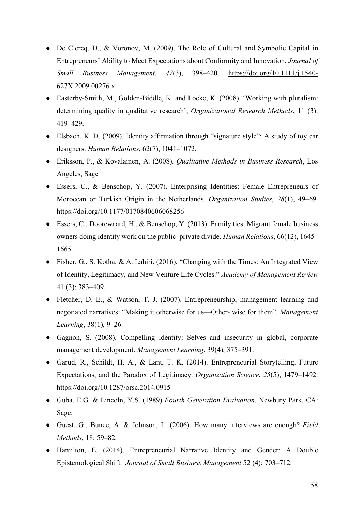- De Clercq, D., & Voronov, M. (2009). The Role of Cultural and Symbolic Capital in Entrepreneurs' Ability to Meet Expectations about Conformity and Innovation. *Journal of Small Business Management*, *47*(3), 398–420. [https://doi.org/10.1111/j.1540-](https://doi.org/10.1111/j.1540-627X.2009.00276.x) [627X.2009.00276.x](https://doi.org/10.1111/j.1540-627X.2009.00276.x)
- Easterby-Smith, M., Golden-Biddle, K. and Locke, K. (2008). 'Working with pluralism: determining quality in qualitative research', *Organizational Research Methods*, 11 (3): 419–429.
- Elsbach, K. D. (2009). Identity affirmation through "signature style": A study of toy car designers. *Human Relations*, 62(7), 1041–1072.
- Eriksson, P., & Kovalainen, A. (2008). *Qualitative Methods in Business Research*, Los Angeles, Sage
- Essers, C., & Benschop, Y. (2007). Enterprising Identities: Female Entrepreneurs of Moroccan or Turkish Origin in the Netherlands. *Organization Studies*, *28*(1), 49–69. <https://doi.org/10.1177/0170840606068256>
- Essers, C., Doorewaard, H., & Benschop, Y. (2013). Family ties: Migrant female business owners doing identity work on the public–private divide. *Human Relations*, 66(12), 1645– 1665.
- Fisher, G., S. Kotha, & A. Lahiri. (2016). "Changing with the Times: An Integrated View of Identity, Legitimacy, and New Venture Life Cycles." *Academy of Management Review*  41 (3): 383–409.
- Fletcher, D. E., & Watson, T. J. (2007). Entrepreneurship, management learning and negotiated narratives: "Making it otherwise for us—Other- wise for them". *Management Learning*, 38(1), 9–26.
- Gagnon, S. (2008). Compelling identity: Selves and insecurity in global, corporate management development. *Management Learning*, 39(4), 375–391.
- Garud, R., Schildt, H. A., & Lant, T. K. (2014). Entrepreneurial Storytelling, Future Expectations, and the Paradox of Legitimacy. *Organization Science*, *25*(5), 1479–1492. <https://doi.org/10.1287/orsc.2014.0915>
- Guba, E.G. & Lincoln, Y.S. (1989) *Fourth Generation Evaluation*. Newbury Park, CA: Sage.
- Guest, G., Bunce, A. & Johnson, L. (2006). How many interviews are enough? *Field Methods*, 18: 59–82.
- Hamilton, E. (2014). Entrepreneurial Narrative Identity and Gender: A Double Epistemological Shift. *Journal of Small Business Management* 52 (4): 703–712.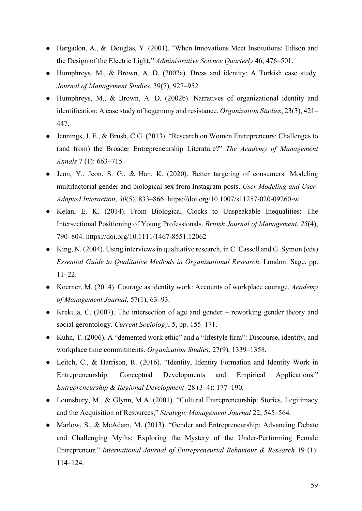- Hargadon, A., & Douglas, Y. (2001). "When Innovations Meet Institutions: Edison and the Design of the Electric Light," *Administrative Science Quarterly* 46, 476–501.
- Humphreys, M., & Brown, A. D. (2002a). Dress and identity: A Turkish case study. *Journal of Management Studies*, 39(7), 927–952.
- Humphreys, M., & Brown, A. D. (2002b). Narratives of organizational identity and identification: A case study of hegemony and resistance. *Organization Studies*, 23(3), 421– 447.
- Jennings, J. E., & Brush, C.G. (2013). "Research on Women Entrepreneurs: Challenges to (and from) the Broader Entrepreneurship Literature?" *The Academy of Management Annals* 7 (1): 663–715.
- Jeon, Y., Jeon, S. G., & Han, K. (2020). Better targeting of consumers: Modeling multifactorial gender and biological sex from Instagram posts. *User Modeling and User-Adapted Interaction*, *30*(5), 833–866.<https://doi.org/10.1007/s11257-020-09260-w>
- Kelan, E. K. (2014). From Biological Clocks to Unspeakable Inequalities: The Intersectional Positioning of Young Professionals. *British Journal of Management*, *25*(4), 790–804.<https://doi.org/10.1111/1467-8551.12062>
- King, N. (2004). Using interviews in qualitative research, in C. Cassell and G. Symon (eds) *Essential Guide to Qualitative Methods in Organizational Research*. London: Sage. pp. 11–22.
- Koerner, M. (2014). Courage as identity work: Accounts of workplace courage. *Academy of Management Journal,* 57(1), 63–93.
- Krekula, C. (2007). The intersection of age and gender reworking gender theory and social gerontology. *Current Sociology*, 5, pp. 155–171.
- Kuhn, T. (2006). A "demented work ethic" and a "lifestyle firm": Discourse, identity, and workplace time commitments. *Organization Studies*, 27(9), 1339–1358.
- Leitch, C., & Harrison, R. (2016). "Identity, Identity Formation and Identity Work in Entrepreneurship: Conceptual Developments and Empirical Applications." *Entrepreneurship & Regional Development* 28 (3–4): 177–190.
- Lounsbury, M., & Glynn, M.A. (2001). "Cultural Entrepreneurship: Stories, Legitimacy and the Acquisition of Resources," *Strategic Management Journal* 22, 545–564.
- Marlow, S., & McAdam, M. (2013). "Gender and Entrepreneurship: Advancing Debate and Challenging Myths; Exploring the Mystery of the Under-Performing Female Entrepreneur." *International Journal of Entrepreneurial Behaviour & Research* 19 (1): 114–124.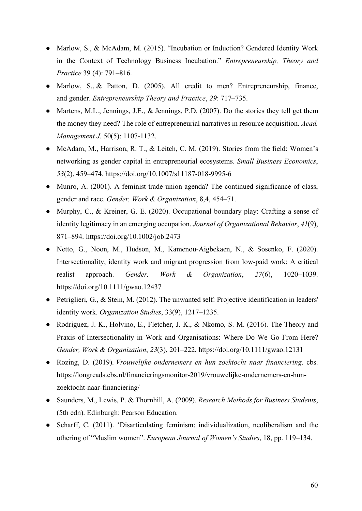- Marlow, S., & McAdam, M. (2015). "Incubation or Induction? Gendered Identity Work in the Context of Technology Business Incubation." *Entrepreneurship, Theory and Practice* 39 (4): 791–816.
- Marlow, S., & Patton, D. (2005). All credit to men? Entrepreneurship, finance, and gender. *Entrepreneurship Theory and Practice*, *29*: 717–735.
- Martens, M.L., Jennings, J.E., & Jennings, P.D. (2007). Do the stories they tell get them the money they need? The role of entrepreneurial narratives in resource acquisition. *Acad. Management J.* 50(5): 1107-1132.
- McAdam, M., Harrison, R. T., & Leitch, C. M. (2019). Stories from the field: Women's networking as gender capital in entrepreneurial ecosystems. *Small Business Economics*, *53*(2), 459–474.<https://doi.org/10.1007/s11187-018-9995-6>
- Munro, A. (2001). A feminist trade union agenda? The continued significance of class, gender and race. *Gender, Work & Organization*, 8,4, 454–71.
- Murphy, C., & Kreiner, G. E. (2020). Occupational boundary play: Crafting a sense of identity legitimacy in an emerging occupation. *Journal of Organizational Behavior*, *41*(9), 871–894.<https://doi.org/10.1002/job.2473>
- Netto, G., Noon, M., Hudson, M., Kamenou-Aigbekaen, N., & Sosenko, F. (2020). Intersectionality, identity work and migrant progression from low-paid work: A critical realist approach. *Gender, Work & Organization*, *27*(6), 1020–1039. <https://doi.org/10.1111/gwao.12437>
- Petriglieri, G., & Stein, M. (2012). The unwanted self: Projective identification in leaders' identity work. *Organization Studies*, 33(9), 1217–1235.
- Rodriguez, J. K., Holvino, E., Fletcher, J. K., & Nkomo, S. M. (2016). The Theory and Praxis of Intersectionality in Work and Organisations: Where Do We Go From Here? *Gender, Work & Organization*, *23*(3), 201–222.<https://doi.org/10.1111/gwao.12131>
- Rozing, D. (2019). *Vrouwelijke ondernemers en hun zoektocht naar financiering*. cbs. https://longreads.cbs.nl/financieringsmonitor-2019/vrouwelijke-ondernemers-en-hunzoektocht-naar-financiering/
- Saunders, M., Lewis, P. & Thornhill, A. (2009). *Research Methods for Business Students*, (5th edn). Edinburgh: Pearson Education.
- Scharff, C. (2011). 'Disarticulating feminism: individualization, neoliberalism and the othering of "Muslim women". *European Journal of Women's Studies*, 18, pp. 119–134.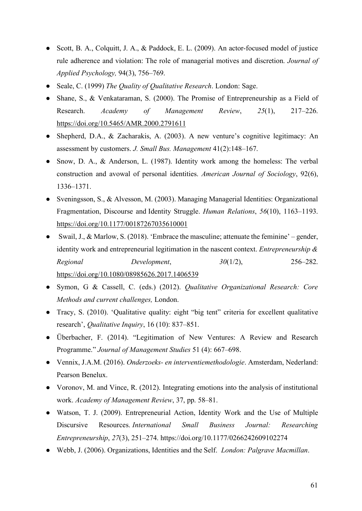- Scott, B. A., Colquitt, J. A., & Paddock, E. L. (2009). An actor‐focused model of justice rule adherence and violation: The role of managerial motives and discretion. *Journal of Applied Psychology,* 94(3), 756–769.
- Seale, C. (1999) *The Quality of Qualitative Research*. London: Sage.
- Shane, S., & Venkataraman, S. (2000). The Promise of Entrepreneurship as a Field of Research. *Academy of Management Review*, *25*(1), 217–226. <https://doi.org/10.5465/AMR.2000.2791611>
- Shepherd, D.A., & Zacharakis, A. (2003). A new venture's cognitive legitimacy: An assessment by customers. *J. Small Bus. Management* 41(2):148–167.
- Snow, D. A., & Anderson, L. (1987). Identity work among the homeless: The verbal construction and avowal of personal identities. *American Journal of Sociology*, 92(6), 1336–1371.
- Sveningsson, S., & Alvesson, M. (2003). Managing Managerial Identities: Organizational Fragmentation, Discourse and Identity Struggle. *Human Relations*, *56*(10), 1163–1193. <https://doi.org/10.1177/00187267035610001>
- Swail, J., & Marlow, S. (2018). 'Embrace the masculine; attenuate the feminine' gender, identity work and entrepreneurial legitimation in the nascent context. *Entrepreneurship & Regional Development*, *30*(1/2), 256–282. <https://doi.org/10.1080/08985626.2017.1406539>
- Symon, G & Cassell, C. (eds.) (2012). *Qualitative Organizational Research: Core Methods and current challenges,* London.
- Tracy, S. (2010). 'Qualitative quality: eight "big tent" criteria for excellent qualitative research', *Qualitative Inquiry*, 16 (10): 837–851.
- Überbacher, F. (2014). "Legitimation of New Ventures: A Review and Research Programme." *Journal of Management Studies* 51 (4): 667–698.
- Vennix, J.A.M. (2016). *Onderzoeks- en interventiemethodologie*. Amsterdam, Nederland: Pearson Benelux.
- Voronov, M. and Vince, R. (2012). Integrating emotions into the analysis of institutional work. *Academy of Management Review*, 37, pp. 58–81.
- Watson, T. J. (2009). Entrepreneurial Action, Identity Work and the Use of Multiple Discursive Resources. *International Small Business Journal: Researching Entrepreneurship*, *27*(3), 251–274. https://doi.org/10.1177/0266242609102274
- Webb, J. (2006). Organizations, Identities and the Self. *London: Palgrave Macmillan*.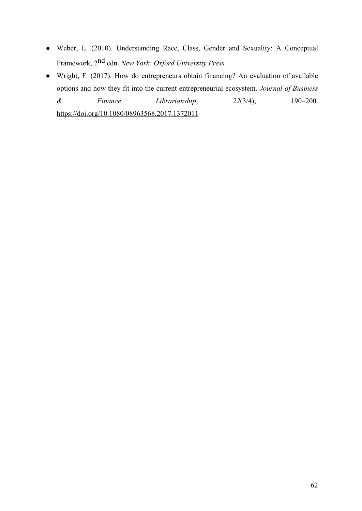- Weber, L. (2010). Understanding Race, Class, Gender and Sexuality: A Conceptual Framework, 2nd edn. *New York: Oxford University Press.*
- Wright, F. (2017). How do entrepreneurs obtain financing? An evaluation of available options and how they fit into the current entrepreneurial ecosystem. *Journal of Business & Finance Librarianship*, *22*(3/4), 190–200. <https://doi.org/10.1080/08963568.2017.1372011>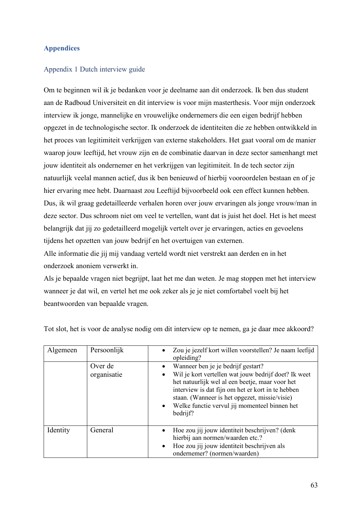# <span id="page-63-0"></span>**Appendices**

# <span id="page-63-1"></span>Appendix 1 Dutch interview guide

Om te beginnen wil ik je bedanken voor je deelname aan dit onderzoek. Ik ben dus student aan de Radboud Universiteit en dit interview is voor mijn masterthesis. Voor mijn onderzoek interview ik jonge, mannelijke en vrouwelijke ondernemers die een eigen bedrijf hebben opgezet in de technologische sector. Ik onderzoek de identiteiten die ze hebben ontwikkeld in het proces van legitimiteit verkrijgen van externe stakeholders. Het gaat vooral om de manier waarop jouw leeftijd, het vrouw zijn en de combinatie daarvan in deze sector samenhangt met jouw identiteit als ondernemer en het verkrijgen van legitimiteit. In de tech sector zijn natuurlijk veelal mannen actief, dus ik ben benieuwd of hierbij vooroordelen bestaan en of je hier ervaring mee hebt. Daarnaast zou Leeftijd bijvoorbeeld ook een effect kunnen hebben. Dus, ik wil graag gedetailleerde verhalen horen over jouw ervaringen als jonge vrouw/man in deze sector. Dus schroom niet om veel te vertellen, want dat is juist het doel. Het is het meest belangrijk dat jij zo gedetailleerd mogelijk vertelt over je ervaringen, acties en gevoelens tijdens het opzetten van jouw bedrijf en het overtuigen van externen.

Alle informatie die jij mij vandaag verteld wordt niet verstrekt aan derden en in het onderzoek anoniem verwerkt in.

Als je bepaalde vragen niet begrijpt, laat het me dan weten. Je mag stoppen met het interview wanneer je dat wil, en vertel het me ook zeker als je je niet comfortabel voelt bij het beantwoorden van bepaalde vragen.

| Algemeen | Persoonlijk            | Zou je jezelf kort willen voorstellen? Je naam leefijd<br>opleiding?                                                                                                                                                                                                                                                          |
|----------|------------------------|-------------------------------------------------------------------------------------------------------------------------------------------------------------------------------------------------------------------------------------------------------------------------------------------------------------------------------|
|          | Over de<br>organisatie | Wanneer ben je je bedrijf gestart?<br>Wil je kort vertellen wat jouw bedrijf doet? Ik weet<br>het natuurlijk wel al een beetje, maar voor het<br>interview is dat fijn om het er kort in te hebben<br>staan. (Wanneer is het opgezet, missie/visie)<br>Welke functie vervul jij momenteel binnen het<br>$\bullet$<br>bedrijf? |
| Identity | General                | Hoe zou jij jouw identiteit beschrijven? (denk<br>hierbij aan normen/waarden etc.?<br>Hoe zou jij jouw identiteit beschrijven als<br>$\bullet$<br>ondernemer? (normen/waarden)                                                                                                                                                |

Tot slot, het is voor de analyse nodig om dit interview op te nemen, ga je daar mee akkoord?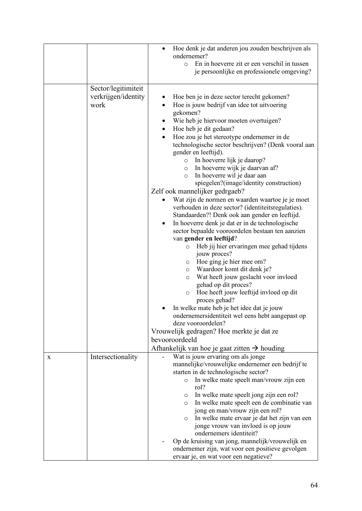|   |                                                    | Hoe denk je dat anderen jou zouden beschrijven als<br>ondernemer?<br>En in hoeverre zit er een verschil in tussen<br>$\circ$                                                                                                                                                                                                                                                                                                                                                                                                                                              |
|---|----------------------------------------------------|---------------------------------------------------------------------------------------------------------------------------------------------------------------------------------------------------------------------------------------------------------------------------------------------------------------------------------------------------------------------------------------------------------------------------------------------------------------------------------------------------------------------------------------------------------------------------|
|   |                                                    | je persoonlijke en professionele omgeving?                                                                                                                                                                                                                                                                                                                                                                                                                                                                                                                                |
|   | Sector/legitimiteit<br>verkrijgen/identity<br>work | Hoe ben je in deze sector terecht gekomen?<br>Hoe is jouw bedrijf van idee tot uitvoering<br>gekomen?<br>Wie heb je hiervoor moeten overtuigen?<br>Hoe heb je dit gedaan?<br>٠<br>Hoe zou je het stereotype ondernemer in de<br>$\bullet$<br>technologische sector beschrijven? (Denk vooral aan<br>gender en leeftijd).<br>o In hoeverre lijk je daarop?<br>o In hoeverre wijk je daarvan af?<br>In hoeverre wil je daar aan<br>$\circ$<br>spiegelen?(image/identity construction)<br>Zelf ook mannelijker gedrgaeb?<br>Wat zijn de normen en waarden waartoe je je moet |
|   |                                                    | verhouden in deze sector? (identiteitsregulaties).<br>Standaarden?! Denk ook aan gender en leeftijd.<br>In hoeverre denk je dat er in de technologische                                                                                                                                                                                                                                                                                                                                                                                                                   |
|   |                                                    | sector bepaalde vooroordelen bestaan ten aanzien<br>van gender en leeftijd?<br>Heb jij hier ervaringen mee gehad tijdens<br>$\circ$<br>jouw proces?                                                                                                                                                                                                                                                                                                                                                                                                                       |
|   |                                                    | Hoe ging je hier mee om?<br>$\circ$<br>Waardoor komt dit denk je?<br>$\circ$<br>Wat heeft jouw geslacht voor invloed<br>O<br>gehad op dit proces?<br>Hoe heeft jouw leeftijd invloed op dit<br>O<br>proces gehad?                                                                                                                                                                                                                                                                                                                                                         |
|   |                                                    | In welke mate heb je het idee dat je jouw<br>ondernemersidentiteit wel eens hebt aangepast op<br>deze vooroordelen?                                                                                                                                                                                                                                                                                                                                                                                                                                                       |
|   |                                                    | Vrouwelijk gedragen? Hoe merkte je dat ze<br>bevooroordeeld<br>Afhankelijk van hoe je gaat zitten $\rightarrow$ houding                                                                                                                                                                                                                                                                                                                                                                                                                                                   |
| X | Intersectionality                                  | Wat is jouw ervaring om als jonge<br>mannelijke/vrouwelijke ondernemer een bedrijf te<br>starten in de technologische sector?<br>In welke mate speelt man/vrouw zijn een<br>$\circ$                                                                                                                                                                                                                                                                                                                                                                                       |
|   |                                                    | rol?<br>In welke mate speelt jong zijn een rol?<br>$\circ$<br>In welke mate speelt een de combinatie van<br>$\circ$<br>jong en man/vrouw zijn een rol?<br>In welke mate ervaar je dat het zijn van een<br>$\circ$<br>jonge vrouw van invloed is op jouw<br>ondernemers identiteit?                                                                                                                                                                                                                                                                                        |
|   |                                                    | Op de kruising van jong, mannelijk/vrouwelijk en<br>ondernemer zijn, wat voor een positieve gevolgen<br>ervaar je, en wat voor een negatieve?                                                                                                                                                                                                                                                                                                                                                                                                                             |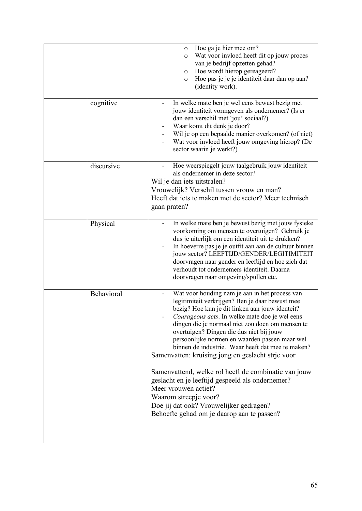|            | Hoe ga je hier mee om?<br>$\circ$<br>Wat voor invloed heeft dit op jouw proces<br>$\circ$<br>van je bedrijf opzetten gehad?<br>Hoe wordt hierop gereageerd?<br>$\circ$<br>Hoe pas je je je identiteit daar dan op aan?<br>$\circ$<br>(identity work).                                                                                                                                                                                                                                                                                                                                                                                                                                                                           |
|------------|---------------------------------------------------------------------------------------------------------------------------------------------------------------------------------------------------------------------------------------------------------------------------------------------------------------------------------------------------------------------------------------------------------------------------------------------------------------------------------------------------------------------------------------------------------------------------------------------------------------------------------------------------------------------------------------------------------------------------------|
| cognitive  | In welke mate ben je wel eens bewust bezig met<br>jouw identiteit vormgeven als ondernemer? (Is er<br>dan een verschil met 'jou' sociaal?)<br>Waar komt dit denk je door?<br>Wil je op een bepaalde manier overkomen? (of niet)<br>Wat voor invloed heeft jouw omgeving hierop? (De<br>sector waarin je werkt?)                                                                                                                                                                                                                                                                                                                                                                                                                 |
| discursive | Hoe weerspiegelt jouw taalgebruik jouw identiteit<br>als ondernemer in deze sector?<br>Wil je dan iets uitstralen?<br>Vrouwelijk? Verschil tussen vrouw en man?<br>Heeft dat iets te maken met de sector? Meer technisch<br>gaan praten?                                                                                                                                                                                                                                                                                                                                                                                                                                                                                        |
| Physical   | In welke mate ben je bewust bezig met jouw fysieke<br>voorkoming om mensen te overtuigen? Gebruik je<br>dus je uiterlijk om een identiteit uit te drukken?<br>In hoeverre pas je je outfit aan aan de cultuur binnen<br>jouw sector? LEEFTIJD/GENDER/LEGITIMITEIT<br>doorvragen naar gender en leeftijd en hoe zich dat<br>verhoudt tot ondernemers identiteit. Daarna<br>doorvragen naar omgeving/spullen etc.                                                                                                                                                                                                                                                                                                                 |
| Behavioral | Wat voor houding nam je aan in het process van<br>legitimiteit verkrijgen? Ben je daar bewust mee<br>bezig? Hoe kun je dit linken aan jouw identeit?<br><i>Courageous acts.</i> In welke mate doe je wel eens<br>dingen die je normaal niet zou doen om mensen te<br>overtuigen? Dingen die dus niet bij jouw<br>persoonlijke normen en waarden passen maar wel<br>binnen de industrie. Waar heeft dat mee te maken?<br>Samenvatten: kruising jong en geslacht strje voor<br>Samenvattend, welke rol heeft de combinatie van jouw<br>geslacht en je leeftijd gespeeld als ondernemer?<br>Meer vrouwen actief?<br>Waarom streepje voor?<br>Doe jij dat ook? Vrouwelijker gedragen?<br>Behoefte gehad om je daarop aan te passen? |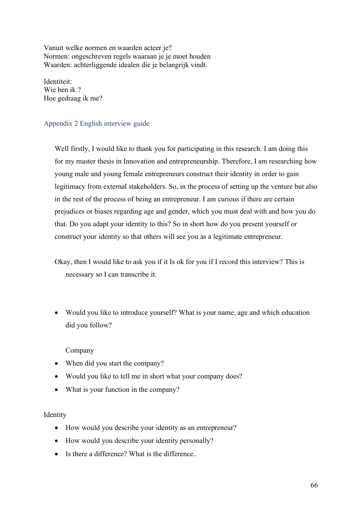Vanuit welke normen en waarden acteer je? Normen: ongeschreven regels waaraan je je moet houden Waarden: achterliggende idealen die je belangrijk vindt.

Identiteit: Wie ben ik ? Hoe gedraag ik me?

# <span id="page-66-0"></span>Appendix 2 English interview guide

Well firstly, I would like to thank you for participating in this research. I am doing this for my master thesis in Innovation and entrepreneurship. Therefore, I am researching how young male and young female entrepreneurs construct their identity in order to gain legitimacy from external stakeholders. So, in the process of setting up the venture but also in the rest of the process of being an entrepreneur. I am curious if there are certain prejudices or biases regarding age and gender, which you must deal with and how you do that. Do you adapt your identity to this? So in short how do you present yourself or construct your identity so that others will see you as a legitimate entrepreneur.

Okay, then I would like to ask you if it Is ok for you if I record this interview? This is necessary so I can transcribe it.

• Would you like to introduce yourself? What is your name, age and which education did you follow?

# Company

- When did you start the company?
- Would you like to tell me in short what your company does?
- What is your function in the company?

# Identity

- How would you describe your identity as an entrepreneur?
- How would you describe your identity personally?
- Is there a difference? What is the difference..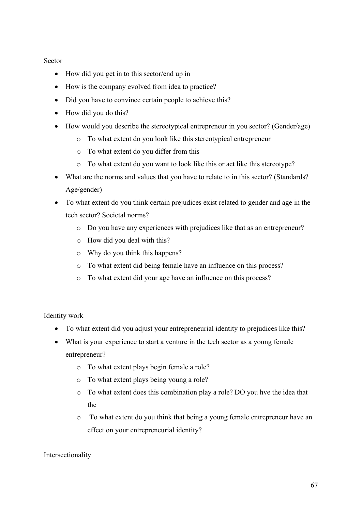# Sector

- How did you get in to this sector/end up in
- How is the company evolved from idea to practice?
- Did you have to convince certain people to achieve this?
- How did you do this?
- How would you describe the stereotypical entrepreneur in you sector? (Gender/age)
	- o To what extent do you look like this stereotypical entrepreneur
	- o To what extent do you differ from this
	- o To what extent do you want to look like this or act like this stereotype?
- What are the norms and values that you have to relate to in this sector? (Standards? Age/gender)
- To what extent do you think certain prejudices exist related to gender and age in the tech sector? Societal norms?
	- o Do you have any experiences with prejudices like that as an entrepreneur?
	- o How did you deal with this?
	- o Why do you think this happens?
	- o To what extent did being female have an influence on this process?
	- o To what extent did your age have an influence on this process?

Identity work

- To what extent did you adjust your entrepreneurial identity to prejudices like this?
- What is your experience to start a venture in the tech sector as a young female entrepreneur?
	- o To what extent plays begin female a role?
	- o To what extent plays being young a role?
	- o To what extent does this combination play a role? DO you hve the idea that the
	- o To what extent do you think that being a young female entrepreneur have an effect on your entrepreneurial identity?

# Intersectionality